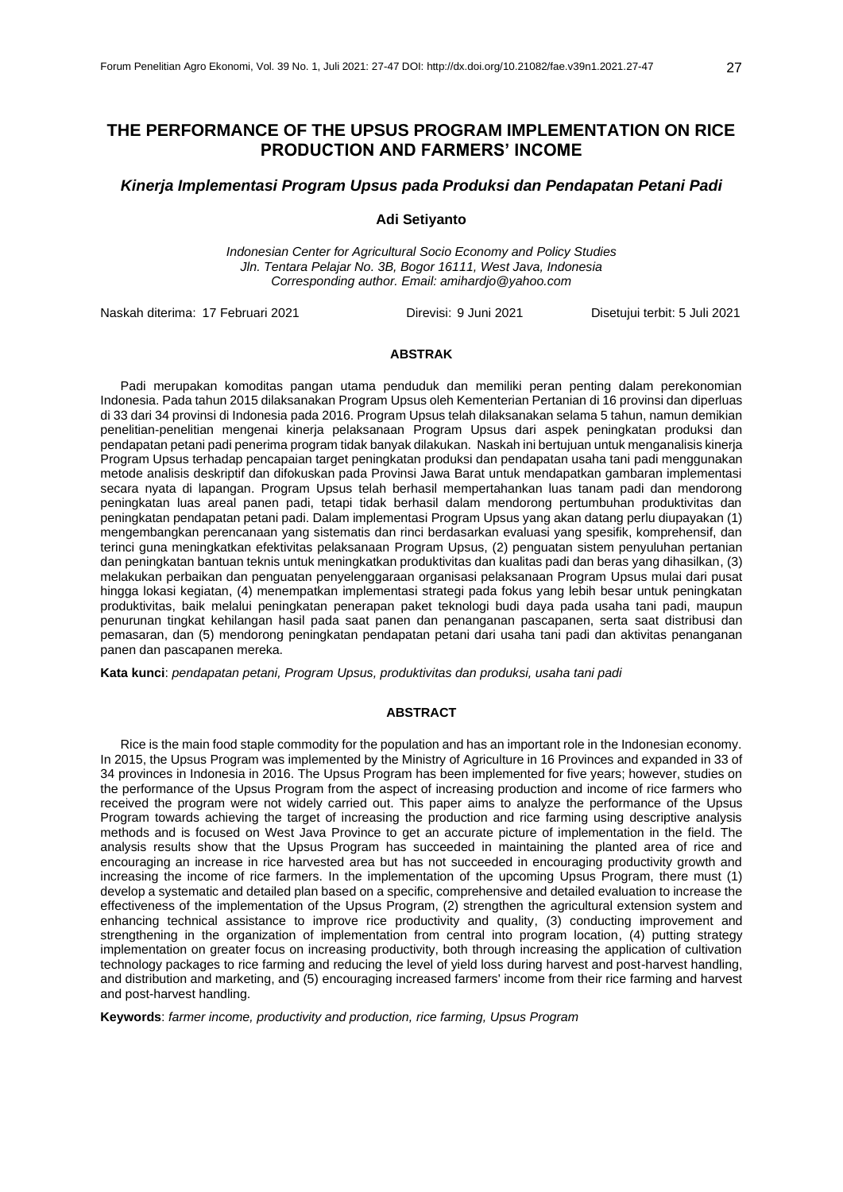# **THE PERFORMANCE OF THE UPSUS PROGRAM IMPLEMENTATION ON RICE PRODUCTION AND FARMERS' INCOME**

### *Kinerja Implementasi Program Upsus pada Produksi dan Pendapatan Petani Padi*

**Adi Setiyanto**

*Indonesian Center for Agricultural Socio Economy and Policy Studies Jln. Tentara Pelajar No. 3B, Bogor 16111, West Java, Indonesia Corresponding author. Email: amihardjo@yahoo.com*

Naskah diterima: 17 Februari 2021 Direvisi: 9 Juni 2021 Disetujui terbit: 5 Juli 2021

### **ABSTRAK**

Padi merupakan komoditas pangan utama penduduk dan memiliki peran penting dalam perekonomian Indonesia. Pada tahun 2015 dilaksanakan Program Upsus oleh Kementerian Pertanian di 16 provinsi dan diperluas di 33 dari 34 provinsi di Indonesia pada 2016. Program Upsus telah dilaksanakan selama 5 tahun, namun demikian penelitian-penelitian mengenai kinerja pelaksanaan Program Upsus dari aspek peningkatan produksi dan pendapatan petani padi penerima program tidak banyak dilakukan. Naskah ini bertujuan untuk menganalisis kinerja Program Upsus terhadap pencapaian target peningkatan produksi dan pendapatan usaha tani padi menggunakan metode analisis deskriptif dan difokuskan pada Provinsi Jawa Barat untuk mendapatkan gambaran implementasi secara nyata di lapangan. Program Upsus telah berhasil mempertahankan luas tanam padi dan mendorong peningkatan luas areal panen padi, tetapi tidak berhasil dalam mendorong pertumbuhan produktivitas dan peningkatan pendapatan petani padi. Dalam implementasi Program Upsus yang akan datang perlu diupayakan (1) mengembangkan perencanaan yang sistematis dan rinci berdasarkan evaluasi yang spesifik, komprehensif, dan terinci guna meningkatkan efektivitas pelaksanaan Program Upsus, (2) penguatan sistem penyuluhan pertanian dan peningkatan bantuan teknis untuk meningkatkan produktivitas dan kualitas padi dan beras yang dihasilkan, (3) melakukan perbaikan dan penguatan penyelenggaraan organisasi pelaksanaan Program Upsus mulai dari pusat hingga lokasi kegiatan, (4) menempatkan implementasi strategi pada fokus yang lebih besar untuk peningkatan produktivitas, baik melalui peningkatan penerapan paket teknologi budi daya pada usaha tani padi, maupun penurunan tingkat kehilangan hasil pada saat panen dan penanganan pascapanen, serta saat distribusi dan pemasaran, dan (5) mendorong peningkatan pendapatan petani dari usaha tani padi dan aktivitas penanganan panen dan pascapanen mereka.

**Kata kunci**: *pendapatan petani, Program Upsus, produktivitas dan produksi, usaha tani padi*

#### **ABSTRACT**

Rice is the main food staple commodity for the population and has an important role in the Indonesian economy. In 2015, the Upsus Program was implemented by the Ministry of Agriculture in 16 Provinces and expanded in 33 of 34 provinces in Indonesia in 2016. The Upsus Program has been implemented for five years; however, studies on the performance of the Upsus Program from the aspect of increasing production and income of rice farmers who received the program were not widely carried out. This paper aims to analyze the performance of the Upsus Program towards achieving the target of increasing the production and rice farming using descriptive analysis methods and is focused on West Java Province to get an accurate picture of implementation in the field. The analysis results show that the Upsus Program has succeeded in maintaining the planted area of rice and encouraging an increase in rice harvested area but has not succeeded in encouraging productivity growth and increasing the income of rice farmers. In the implementation of the upcoming Upsus Program, there must (1) develop a systematic and detailed plan based on a specific, comprehensive and detailed evaluation to increase the effectiveness of the implementation of the Upsus Program, (2) strengthen the agricultural extension system and enhancing technical assistance to improve rice productivity and quality, (3) conducting improvement and strengthening in the organization of implementation from central into program location, (4) putting strategy implementation on greater focus on increasing productivity, both through increasing the application of cultivation technology packages to rice farming and reducing the level of yield loss during harvest and post-harvest handling, and distribution and marketing, and (5) encouraging increased farmers' income from their rice farming and harvest and post-harvest handling.

**Keywords**: *farmer income, productivity and production, rice farming, Upsus Program*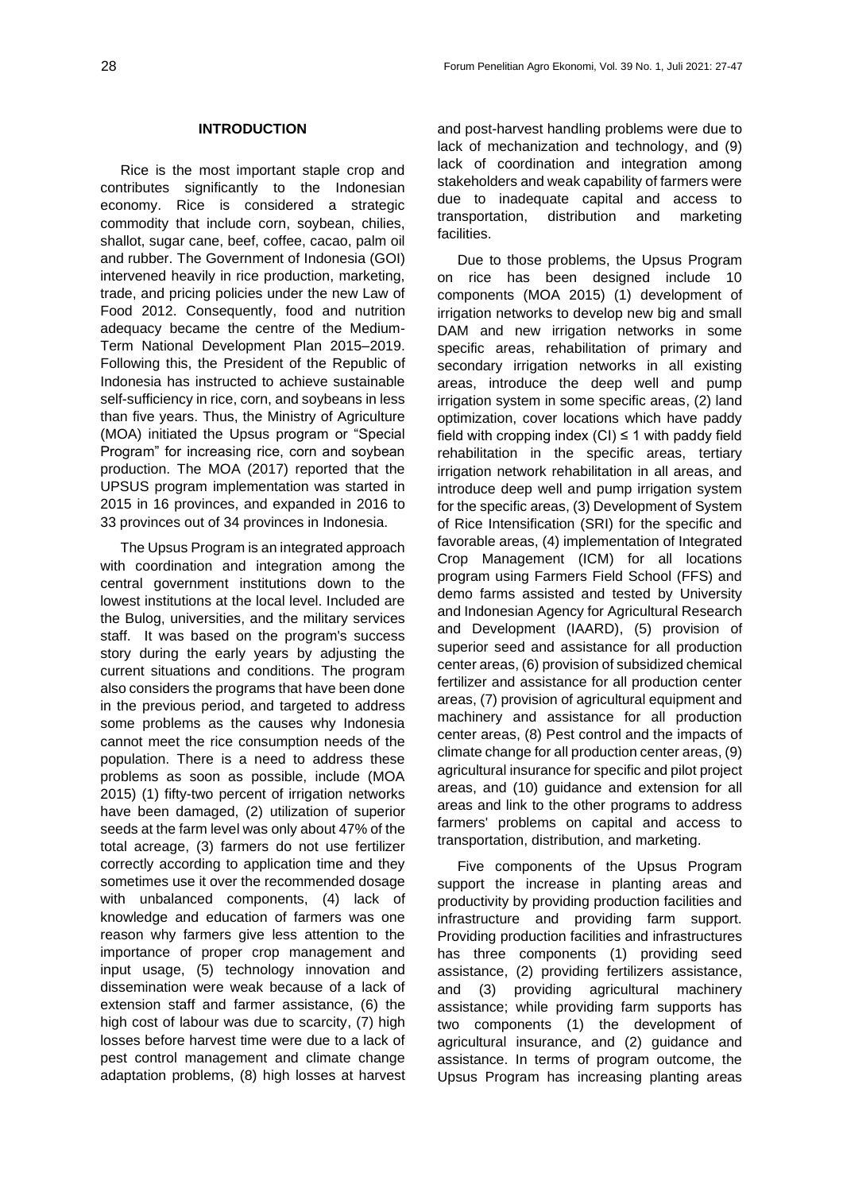### **INTRODUCTION**

Rice is the most important staple crop and contributes significantly to the Indonesian economy. Rice is considered a strategic commodity that include corn, soybean, chilies, shallot, sugar cane, beef, coffee, cacao, palm oil and rubber. The Government of Indonesia (GOI) intervened heavily in rice production, marketing, trade, and pricing policies under the new Law of Food 2012. Consequently, food and nutrition adequacy became the centre of the Medium-Term National Development Plan 2015–2019. Following this, the President of the Republic of Indonesia has instructed to achieve sustainable self-sufficiency in rice, corn, and soybeans in less than five years. Thus, the Ministry of Agriculture (MOA) initiated the Upsus program or "Special Program" for increasing rice, corn and soybean production. The MOA (2017) reported that the UPSUS program implementation was started in 2015 in 16 provinces, and expanded in 2016 to 33 provinces out of 34 provinces in Indonesia.

The Upsus Program is an integrated approach with coordination and integration among the central government institutions down to the lowest institutions at the local level. Included are the Bulog, universities, and the military services staff. It was based on the program's success story during the early years by adjusting the current situations and conditions. The program also considers the programs that have been done in the previous period, and targeted to address some problems as the causes why Indonesia cannot meet the rice consumption needs of the population. There is a need to address these problems as soon as possible, include (MOA 2015) (1) fifty-two percent of irrigation networks have been damaged, (2) utilization of superior seeds at the farm level was only about 47% of the total acreage, (3) farmers do not use fertilizer correctly according to application time and they sometimes use it over the recommended dosage with unbalanced components, (4) lack of knowledge and education of farmers was one reason why farmers give less attention to the importance of proper crop management and input usage, (5) technology innovation and dissemination were weak because of a lack of extension staff and farmer assistance, (6) the high cost of labour was due to scarcity, (7) high losses before harvest time were due to a lack of pest control management and climate change adaptation problems, (8) high losses at harvest and post-harvest handling problems were due to lack of mechanization and technology, and (9) lack of coordination and integration among stakeholders and weak capability of farmers were due to inadequate capital and access to transportation, distribution and marketing facilities.

Due to those problems, the Upsus Program on rice has been designed include 10 components (MOA 2015) (1) development of irrigation networks to develop new big and small DAM and new irrigation networks in some specific areas, rehabilitation of primary and secondary irrigation networks in all existing areas, introduce the deep well and pump irrigation system in some specific areas, (2) land optimization, cover locations which have paddy field with cropping index  $(Cl) \leq 1$  with paddy field rehabilitation in the specific areas, tertiary irrigation network rehabilitation in all areas, and introduce deep well and pump irrigation system for the specific areas, (3) Development of System of Rice Intensification (SRI) for the specific and favorable areas, (4) implementation of Integrated Crop Management (ICM) for all locations program using Farmers Field School (FFS) and demo farms assisted and tested by University and Indonesian Agency for Agricultural Research and Development (IAARD), (5) provision of superior seed and assistance for all production center areas, (6) provision of subsidized chemical fertilizer and assistance for all production center areas, (7) provision of agricultural equipment and machinery and assistance for all production center areas, (8) Pest control and the impacts of climate change for all production center areas, (9) agricultural insurance for specific and pilot project areas, and (10) guidance and extension for all areas and link to the other programs to address farmers' problems on capital and access to transportation, distribution, and marketing.

Five components of the Upsus Program support the increase in planting areas and productivity by providing production facilities and infrastructure and providing farm support. Providing production facilities and infrastructures has three components (1) providing seed assistance, (2) providing fertilizers assistance, and (3) providing agricultural machinery assistance; while providing farm supports has two components (1) the development of agricultural insurance, and (2) guidance and assistance. In terms of program outcome, the Upsus Program has increasing planting areas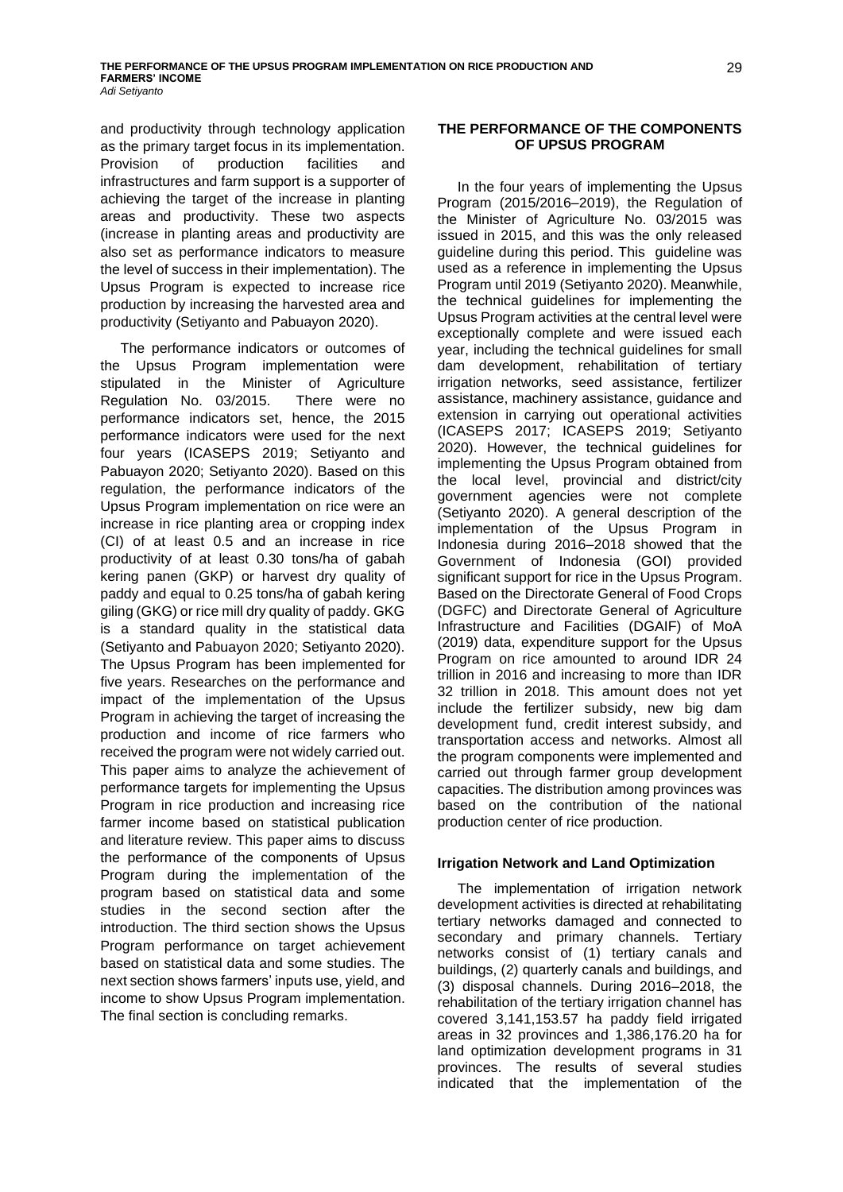and productivity through technology application as the primary target focus in its implementation. Provision of production facilities and infrastructures and farm support is a supporter of achieving the target of the increase in planting areas and productivity. These two aspects (increase in planting areas and productivity are also set as performance indicators to measure the level of success in their implementation). The Upsus Program is expected to increase rice production by increasing the harvested area and productivity (Setiyanto and Pabuayon 2020).

The performance indicators or outcomes of the Upsus Program implementation were stipulated in the Minister of Agriculture Regulation No. 03/2015. There were no performance indicators set, hence, the 2015 performance indicators were used for the next four years (ICASEPS 2019; Setiyanto and Pabuayon 2020; Setiyanto 2020). Based on this regulation, the performance indicators of the Upsus Program implementation on rice were an increase in rice planting area or cropping index (CI) of at least 0.5 and an increase in rice productivity of at least 0.30 tons/ha of gabah kering panen (GKP) or harvest dry quality of paddy and equal to 0.25 tons/ha of gabah kering giling (GKG) or rice mill dry quality of paddy. GKG is a standard quality in the statistical data (Setiyanto and Pabuayon 2020; Setiyanto 2020). The Upsus Program has been implemented for five years. Researches on the performance and impact of the implementation of the Upsus Program in achieving the target of increasing the production and income of rice farmers who received the program were not widely carried out. This paper aims to analyze the achievement of performance targets for implementing the Upsus Program in rice production and increasing rice farmer income based on statistical publication and literature review. This paper aims to discuss the performance of the components of Upsus Program during the implementation of the program based on statistical data and some studies in the second section after the introduction. The third section shows the Upsus Program performance on target achievement based on statistical data and some studies. The next section shows farmers' inputs use, yield, and income to show Upsus Program implementation. The final section is concluding remarks.

## **THE PERFORMANCE OF THE COMPONENTS OF UPSUS PROGRAM**

In the four years of implementing the Upsus Program (2015/2016–2019), the Regulation of the Minister of Agriculture No. 03/2015 was issued in 2015, and this was the only released guideline during this period. This guideline was used as a reference in implementing the Upsus Program until 2019 (Setiyanto 2020). Meanwhile, the technical guidelines for implementing the Upsus Program activities at the central level were exceptionally complete and were issued each year, including the technical guidelines for small dam development, rehabilitation of tertiary irrigation networks, seed assistance, fertilizer assistance, machinery assistance, guidance and extension in carrying out operational activities (ICASEPS 2017; ICASEPS 2019; Setiyanto 2020). However, the technical guidelines for implementing the Upsus Program obtained from the local level, provincial and district/city government agencies were not complete (Setiyanto 2020). A general description of the implementation of the Upsus Program in Indonesia during 2016–2018 showed that the Government of Indonesia (GOI) provided significant support for rice in the Upsus Program. Based on the Directorate General of Food Crops (DGFC) and Directorate General of Agriculture Infrastructure and Facilities (DGAIF) of MoA (2019) data, expenditure support for the Upsus Program on rice amounted to around IDR 24 trillion in 2016 and increasing to more than IDR 32 trillion in 2018. This amount does not yet include the fertilizer subsidy, new big dam development fund, credit interest subsidy, and transportation access and networks. Almost all the program components were implemented and carried out through farmer group development capacities. The distribution among provinces was based on the contribution of the national production center of rice production.

### **Irrigation Network and Land Optimization**

The implementation of irrigation network development activities is directed at rehabilitating tertiary networks damaged and connected to secondary and primary channels. Tertiary networks consist of (1) tertiary canals and buildings, (2) quarterly canals and buildings, and (3) disposal channels. During 2016–2018, the rehabilitation of the tertiary irrigation channel has covered 3,141,153.57 ha paddy field irrigated areas in 32 provinces and 1,386,176.20 ha for land optimization development programs in 31 provinces. The results of several studies indicated that the implementation of the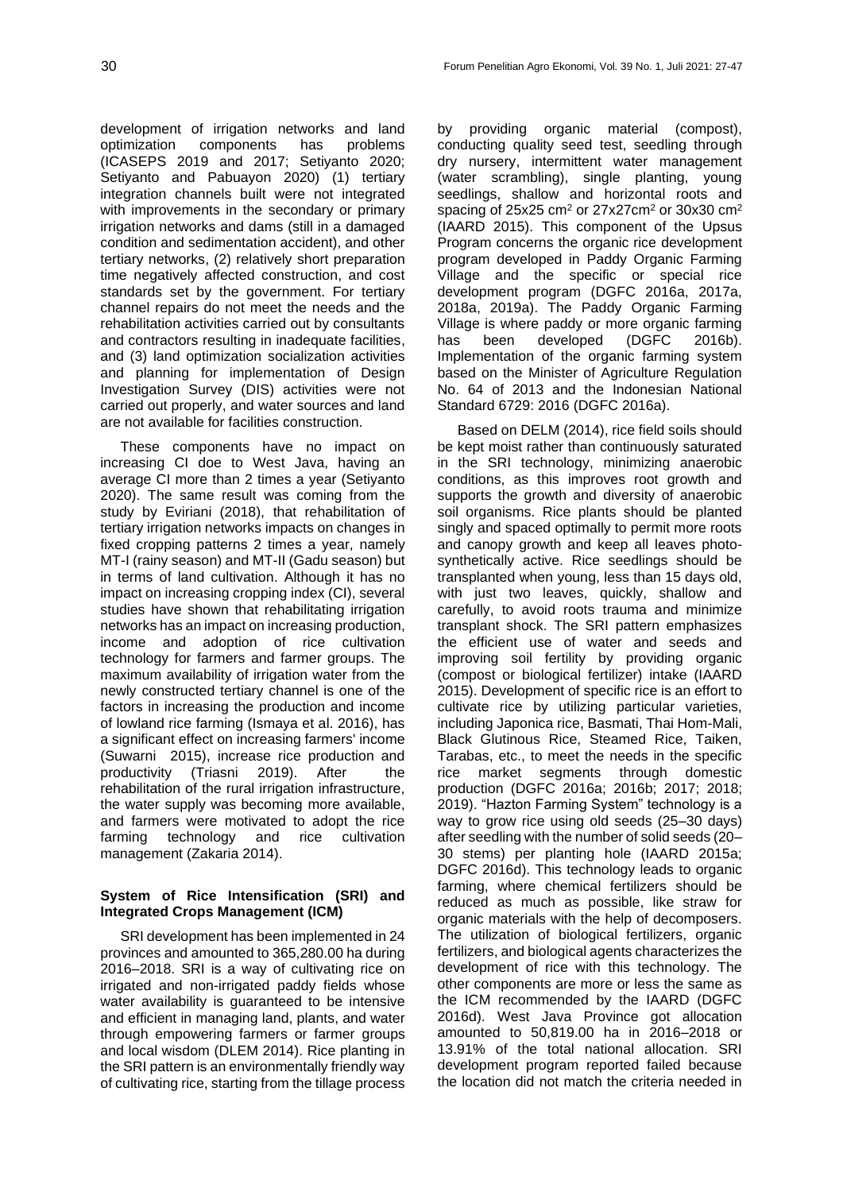development of irrigation networks and land optimization components has problems (ICASEPS 2019 and 2017; Setiyanto 2020; Setiyanto and Pabuayon 2020) (1) tertiary integration channels built were not integrated with improvements in the secondary or primary irrigation networks and dams (still in a damaged condition and sedimentation accident), and other tertiary networks, (2) relatively short preparation time negatively affected construction, and cost standards set by the government. For tertiary channel repairs do not meet the needs and the rehabilitation activities carried out by consultants and contractors resulting in inadequate facilities, and (3) land optimization socialization activities and planning for implementation of Design Investigation Survey (DIS) activities were not carried out properly, and water sources and land are not available for facilities construction.

These components have no impact on increasing CI doe to West Java, having an average CI more than 2 times a year (Setiyanto 2020). The same result was coming from the study by Eviriani (2018), that rehabilitation of tertiary irrigation networks impacts on changes in fixed cropping patterns 2 times a year, namely MT-I (rainy season) and MT-II (Gadu season) but in terms of land cultivation. Although it has no impact on increasing cropping index (CI), several studies have shown that rehabilitating irrigation networks has an impact on increasing production, income and adoption of rice cultivation technology for farmers and farmer groups. The maximum availability of irrigation water from the newly constructed tertiary channel is one of the factors in increasing the production and income of lowland rice farming (Ismaya et al. 2016), has a significant effect on increasing farmers' income (Suwarni 2015), increase rice production and productivity (Triasni 2019). After the rehabilitation of the rural irrigation infrastructure, the water supply was becoming more available, and farmers were motivated to adopt the rice farming technology and rice cultivation management (Zakaria 2014).

# **System of Rice Intensification (SRI) and Integrated Crops Management (ICM)**

SRI development has been implemented in 24 provinces and amounted to 365,280.00 ha during 2016–2018. SRI is a way of cultivating rice on irrigated and non-irrigated paddy fields whose water availability is guaranteed to be intensive and efficient in managing land, plants, and water through empowering farmers or farmer groups and local wisdom (DLEM 2014). Rice planting in the SRI pattern is an environmentally friendly way of cultivating rice, starting from the tillage process by providing organic material (compost), conducting quality seed test, seedling through dry nursery, intermittent water management (water scrambling), single planting, young seedlings, shallow and horizontal roots and spacing of  $25x25$  cm<sup>2</sup> or  $27x27$ cm<sup>2</sup> or  $30x30$  cm<sup>2</sup> (IAARD 2015). This component of the Upsus Program concerns the organic rice development program developed in Paddy Organic Farming Village and the specific or special rice development program (DGFC 2016a, 2017a, 2018a, 2019a). The Paddy Organic Farming Village is where paddy or more organic farming has been developed (DGFC 2016b). Implementation of the organic farming system based on the Minister of Agriculture Regulation No. 64 of 2013 and the Indonesian National Standard 6729: 2016 (DGFC 2016a).

Based on DELM (2014), rice field soils should be kept moist rather than continuously saturated in the SRI technology, minimizing anaerobic conditions, as this improves root growth and supports the growth and diversity of anaerobic soil organisms. Rice plants should be planted singly and spaced optimally to permit more roots and canopy growth and keep all leaves photosynthetically active. Rice seedlings should be transplanted when young, less than 15 days old, with just two leaves, quickly, shallow and carefully, to avoid roots trauma and minimize transplant shock. The SRI pattern emphasizes the efficient use of water and seeds and improving soil fertility by providing organic (compost or biological fertilizer) intake (IAARD 2015). Development of specific rice is an effort to cultivate rice by utilizing particular varieties, including Japonica rice, Basmati, Thai Hom-Mali, Black Glutinous Rice, Steamed Rice, Taiken, Tarabas, etc., to meet the needs in the specific rice market segments through domestic production (DGFC 2016a; 2016b; 2017; 2018; 2019). "Hazton Farming System" technology is a way to grow rice using old seeds (25–30 days) after seedling with the number of solid seeds (20– 30 stems) per planting hole (IAARD 2015a; DGFC 2016d). This technology leads to organic farming, where chemical fertilizers should be reduced as much as possible, like straw for organic materials with the help of decomposers. The utilization of biological fertilizers, organic fertilizers, and biological agents characterizes the development of rice with this technology. The other components are more or less the same as the ICM recommended by the IAARD (DGFC 2016d). West Java Province got allocation amounted to 50,819.00 ha in 2016–2018 or 13.91% of the total national allocation. SRI development program reported failed because the location did not match the criteria needed in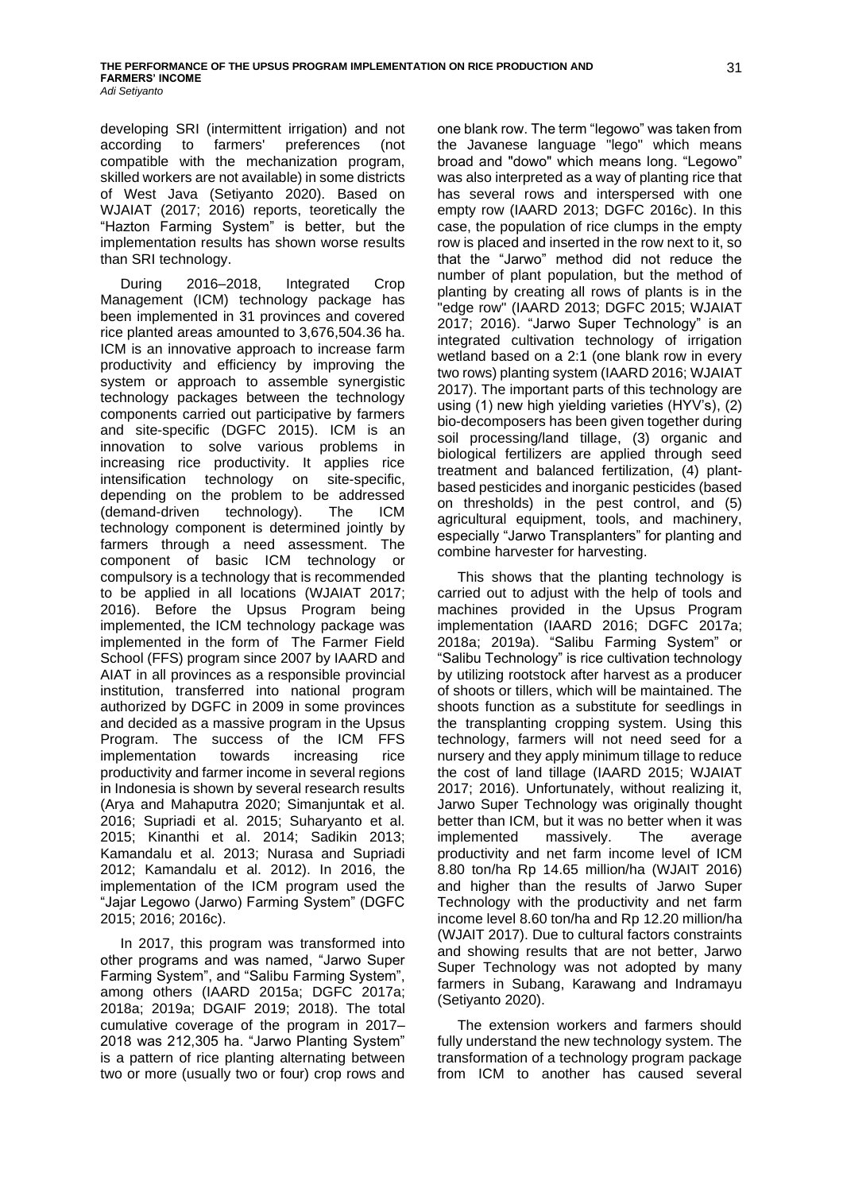developing SRI (intermittent irrigation) and not according to farmers' preferences (not compatible with the mechanization program, skilled workers are not available) in some districts of West Java (Setiyanto 2020). Based on WJAIAT (2017; 2016) reports, teoretically the "Hazton Farming System" is better, but the implementation results has shown worse results than SRI technology.

During 2016–2018, Integrated Crop Management (ICM) technology package has been implemented in 31 provinces and covered rice planted areas amounted to 3,676,504.36 ha. ICM is an innovative approach to increase farm productivity and efficiency by improving the system or approach to assemble synergistic technology packages between the technology components carried out participative by farmers and site-specific (DGFC 2015). ICM is an innovation to solve various problems in increasing rice productivity. It applies rice intensification technology on site-specific, depending on the problem to be addressed (demand-driven technology). The ICM technology component is determined jointly by farmers through a need assessment. The component of basic ICM technology or compulsory is a technology that is recommended to be applied in all locations (WJAIAT 2017; 2016). Before the Upsus Program being implemented, the ICM technology package was implemented in the form of The Farmer Field School (FFS) program since 2007 by IAARD and AIAT in all provinces as a responsible provincial institution, transferred into national program authorized by DGFC in 2009 in some provinces and decided as a massive program in the Upsus Program. The success of the ICM FFS implementation towards increasing rice productivity and farmer income in several regions in Indonesia is shown by several research results (Arya and Mahaputra 2020; Simanjuntak et al. 2016; Supriadi et al. 2015; Suharyanto et al. 2015; Kinanthi et al. 2014; Sadikin 2013; Kamandalu et al. 2013; Nurasa and Supriadi 2012; Kamandalu et al. 2012). In 2016, the implementation of the ICM program used the "Jajar Legowo (Jarwo) Farming System" (DGFC 2015; 2016; 2016c).

In 2017, this program was transformed into other programs and was named, "Jarwo Super Farming System", and "Salibu Farming System", among others (IAARD 2015a; DGFC 2017a; 2018a; 2019a; DGAIF 2019; 2018). The total cumulative coverage of the program in 2017– 2018 was 212,305 ha. "Jarwo Planting System" is a pattern of rice planting alternating between two or more (usually two or four) crop rows and one blank row. The term "legowo" was taken from the Javanese language "lego" which means broad and "dowo" which means long. "Legowo" was also interpreted as a way of planting rice that has several rows and interspersed with one empty row (IAARD 2013; DGFC 2016c). In this case, the population of rice clumps in the empty row is placed and inserted in the row next to it, so that the "Jarwo" method did not reduce the number of plant population, but the method of planting by creating all rows of plants is in the "edge row" (IAARD 2013; DGFC 2015; WJAIAT 2017; 2016). "Jarwo Super Technology" is an integrated cultivation technology of irrigation wetland based on a 2:1 (one blank row in every two rows) planting system (IAARD 2016; WJAIAT 2017). The important parts of this technology are using (1) new high yielding varieties (HYV's), (2) bio-decomposers has been given together during soil processing/land tillage, (3) organic and biological fertilizers are applied through seed treatment and balanced fertilization, (4) plantbased pesticides and inorganic pesticides (based on thresholds) in the pest control, and (5) agricultural equipment, tools, and machinery, especially "Jarwo Transplanters" for planting and combine harvester for harvesting.

This shows that the planting technology is carried out to adjust with the help of tools and machines provided in the Upsus Program implementation (IAARD 2016; DGFC 2017a; 2018a; 2019a). "Salibu Farming System" or "Salibu Technology" is rice cultivation technology by utilizing rootstock after harvest as a producer of shoots or tillers, which will be maintained. The shoots function as a substitute for seedlings in the transplanting cropping system. Using this technology, farmers will not need seed for a nursery and they apply minimum tillage to reduce the cost of land tillage (IAARD 2015; WJAIAT 2017; 2016). Unfortunately, without realizing it, Jarwo Super Technology was originally thought better than ICM, but it was no better when it was implemented massively. The average productivity and net farm income level of ICM 8.80 ton/ha Rp 14.65 million/ha (WJAIT 2016) and higher than the results of Jarwo Super Technology with the productivity and net farm income level 8.60 ton/ha and Rp 12.20 million/ha (WJAIT 2017). Due to cultural factors constraints and showing results that are not better, Jarwo Super Technology was not adopted by many farmers in Subang, Karawang and Indramayu (Setiyanto 2020).

The extension workers and farmers should fully understand the new technology system. The transformation of a technology program package from ICM to another has caused several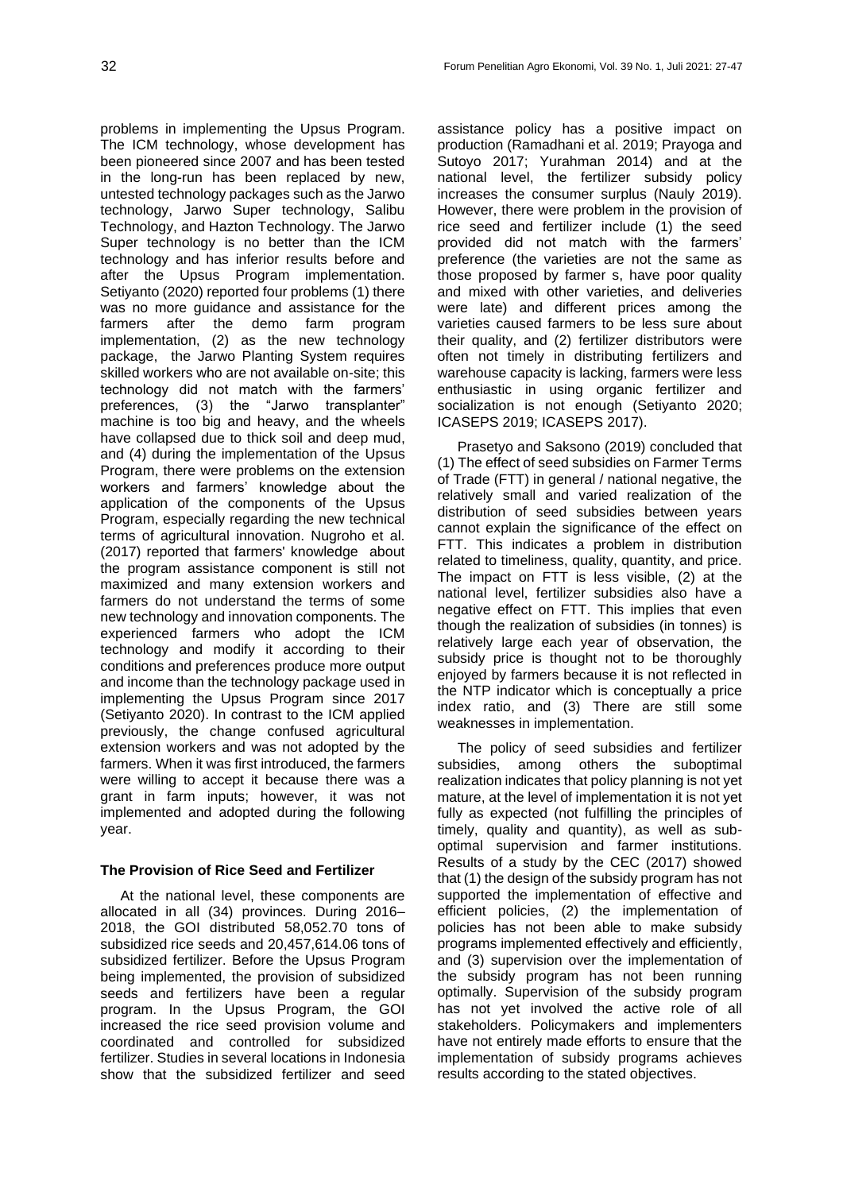problems in implementing the Upsus Program. The ICM technology, whose development has been pioneered since 2007 and has been tested in the long-run has been replaced by new, untested technology packages such as the Jarwo technology, Jarwo Super technology, Salibu Technology, and Hazton Technology. The Jarwo Super technology is no better than the ICM technology and has inferior results before and after the Upsus Program implementation. Setiyanto (2020) reported four problems (1) there was no more guidance and assistance for the farmers after the demo farm program implementation, (2) as the new technology package, the Jarwo Planting System requires skilled workers who are not available on-site; this technology did not match with the farmers' preferences, (3) the "Jarwo transplanter" machine is too big and heavy, and the wheels have collapsed due to thick soil and deep mud, and (4) during the implementation of the Upsus Program, there were problems on the extension workers and farmers' knowledge about the application of the components of the Upsus Program, especially regarding the new technical terms of agricultural innovation. Nugroho et al. (2017) reported that farmers' knowledge about the program assistance component is still not maximized and many extension workers and farmers do not understand the terms of some new technology and innovation components. The experienced farmers who adopt the ICM technology and modify it according to their conditions and preferences produce more output and income than the technology package used in implementing the Upsus Program since 2017 (Setiyanto 2020). In contrast to the ICM applied previously, the change confused agricultural extension workers and was not adopted by the farmers. When it was first introduced, the farmers were willing to accept it because there was a grant in farm inputs; however, it was not implemented and adopted during the following year.

## **The Provision of Rice Seed and Fertilizer**

At the national level, these components are allocated in all (34) provinces. During 2016– 2018, the GOI distributed 58,052.70 tons of subsidized rice seeds and 20,457,614.06 tons of subsidized fertilizer. Before the Upsus Program being implemented, the provision of subsidized seeds and fertilizers have been a regular program. In the Upsus Program, the GOI increased the rice seed provision volume and coordinated and controlled for subsidized fertilizer. Studies in several locations in Indonesia show that the subsidized fertilizer and seed

assistance policy has a positive impact on production (Ramadhani et al. 2019; Prayoga and Sutoyo 2017; Yurahman 2014) and at the national level, the fertilizer subsidy policy increases the consumer surplus (Nauly 2019). However, there were problem in the provision of rice seed and fertilizer include (1) the seed provided did not match with the farmers' preference (the varieties are not the same as those proposed by farmer s, have poor quality and mixed with other varieties, and deliveries were late) and different prices among the varieties caused farmers to be less sure about their quality, and (2) fertilizer distributors were often not timely in distributing fertilizers and warehouse capacity is lacking, farmers were less enthusiastic in using organic fertilizer and socialization is not enough (Setiyanto 2020; ICASEPS 2019; ICASEPS 2017).

Prasetyo and Saksono (2019) concluded that (1) The effect of seed subsidies on Farmer Terms of Trade (FTT) in general / national negative, the relatively small and varied realization of the distribution of seed subsidies between years cannot explain the significance of the effect on FTT. This indicates a problem in distribution related to timeliness, quality, quantity, and price. The impact on FTT is less visible, (2) at the national level, fertilizer subsidies also have a negative effect on FTT. This implies that even though the realization of subsidies (in tonnes) is relatively large each year of observation, the subsidy price is thought not to be thoroughly enjoyed by farmers because it is not reflected in the NTP indicator which is conceptually a price index ratio, and (3) There are still some weaknesses in implementation.

The policy of seed subsidies and fertilizer subsidies, among others the suboptimal realization indicates that policy planning is not yet mature, at the level of implementation it is not yet fully as expected (not fulfilling the principles of timely, quality and quantity), as well as suboptimal supervision and farmer institutions. Results of a study by the CEC (2017) showed that (1) the design of the subsidy program has not supported the implementation of effective and efficient policies, (2) the implementation of policies has not been able to make subsidy programs implemented effectively and efficiently, and (3) supervision over the implementation of the subsidy program has not been running optimally. Supervision of the subsidy program has not yet involved the active role of all stakeholders. Policymakers and implementers have not entirely made efforts to ensure that the implementation of subsidy programs achieves results according to the stated objectives.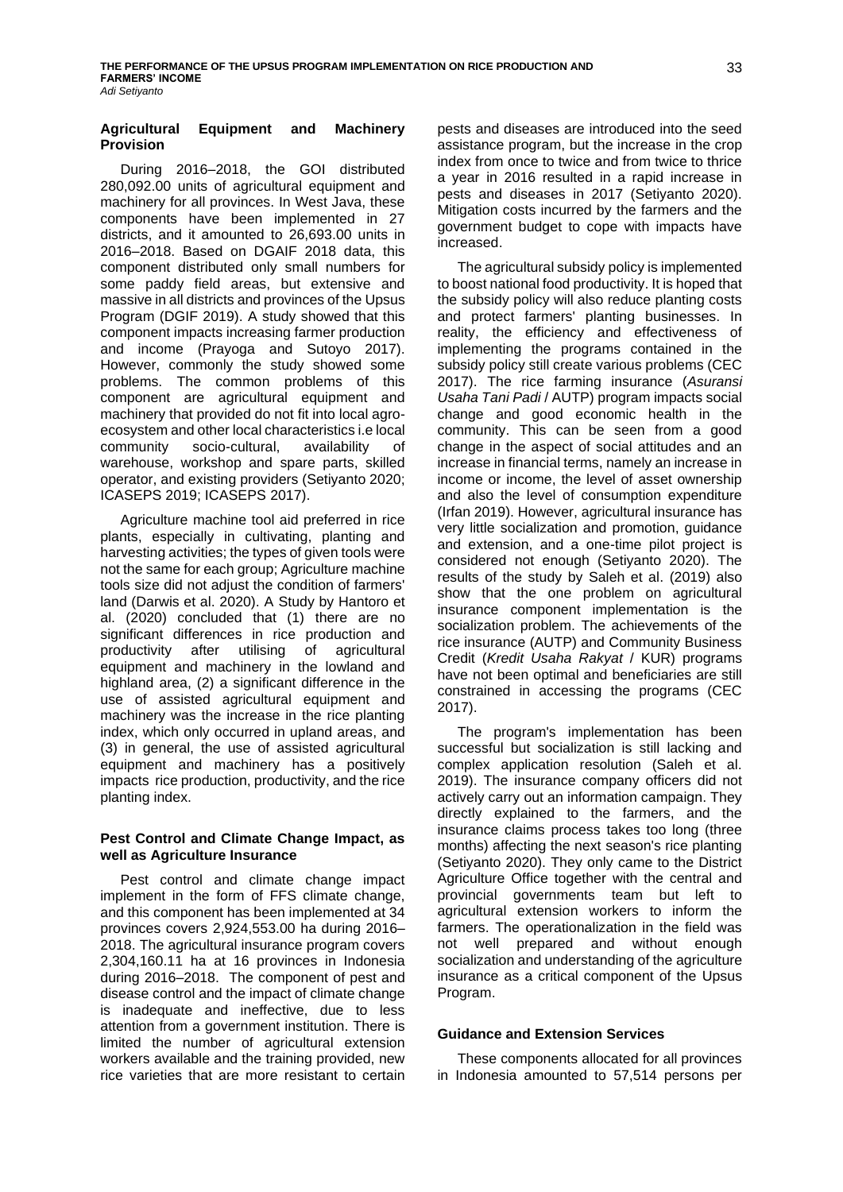### **Agricultural Equipment and Machinery Provision**

During 2016–2018, the GOI distributed 280,092.00 units of agricultural equipment and machinery for all provinces. In West Java, these components have been implemented in 27 districts, and it amounted to 26,693.00 units in 2016–2018. Based on DGAIF 2018 data, this component distributed only small numbers for some paddy field areas, but extensive and massive in all districts and provinces of the Upsus Program (DGIF 2019). A study showed that this component impacts increasing farmer production and income (Prayoga and Sutoyo 2017). However, commonly the study showed some problems. The common problems of this component are agricultural equipment and machinery that provided do not fit into local agroecosystem and other local characteristics i.e local community socio-cultural, availability of warehouse, workshop and spare parts, skilled operator, and existing providers (Setiyanto 2020; ICASEPS 2019; ICASEPS 2017).

Agriculture machine tool aid preferred in rice plants, especially in cultivating, planting and harvesting activities; the types of given tools were not the same for each group; Agriculture machine tools size did not adjust the condition of farmers' land (Darwis et al. 2020). A Study by Hantoro et al. (2020) concluded that (1) there are no significant differences in rice production and productivity after utilising of agricultural equipment and machinery in the lowland and highland area, (2) a significant difference in the use of assisted agricultural equipment and machinery was the increase in the rice planting index, which only occurred in upland areas, and (3) in general, the use of assisted agricultural equipment and machinery has a positively impacts rice production, productivity, and the rice planting index.

## **Pest Control and Climate Change Impact, as well as Agriculture Insurance**

Pest control and climate change impact implement in the form of FFS climate change, and this component has been implemented at 34 provinces covers 2,924,553.00 ha during 2016– 2018. The agricultural insurance program covers 2,304,160.11 ha at 16 provinces in Indonesia during 2016–2018. The component of pest and disease control and the impact of climate change is inadequate and ineffective, due to less attention from a government institution. There is limited the number of agricultural extension workers available and the training provided, new rice varieties that are more resistant to certain

pests and diseases are introduced into the seed assistance program, but the increase in the crop index from once to twice and from twice to thrice a year in 2016 resulted in a rapid increase in pests and diseases in 2017 (Setiyanto 2020). Mitigation costs incurred by the farmers and the government budget to cope with impacts have increased.

The agricultural subsidy policy is implemented to boost national food productivity. It is hoped that the subsidy policy will also reduce planting costs and protect farmers' planting businesses. In reality, the efficiency and effectiveness of implementing the programs contained in the subsidy policy still create various problems (CEC 2017). The rice farming insurance (*Asuransi Usaha Tani Padi* / AUTP) program impacts social change and good economic health in the community. This can be seen from a good change in the aspect of social attitudes and an increase in financial terms, namely an increase in income or income, the level of asset ownership and also the level of consumption expenditure (Irfan 2019). However, agricultural insurance has very little socialization and promotion, guidance and extension, and a one-time pilot project is considered not enough (Setiyanto 2020). The results of the study by Saleh et al. (2019) also show that the one problem on agricultural insurance component implementation is the socialization problem. The achievements of the rice insurance (AUTP) and Community Business Credit (*Kredit Usaha Rakyat* / KUR) programs have not been optimal and beneficiaries are still constrained in accessing the programs (CEC 2017).

The program's implementation has been successful but socialization is still lacking and complex application resolution (Saleh et al. 2019). The insurance company officers did not actively carry out an information campaign. They directly explained to the farmers, and the insurance claims process takes too long (three months) affecting the next season's rice planting (Setiyanto 2020). They only came to the District Agriculture Office together with the central and provincial governments team but left to agricultural extension workers to inform the farmers. The operationalization in the field was not well prepared and without enough socialization and understanding of the agriculture insurance as a critical component of the Upsus Program.

## **Guidance and Extension Services**

These components allocated for all provinces in Indonesia amounted to 57,514 persons per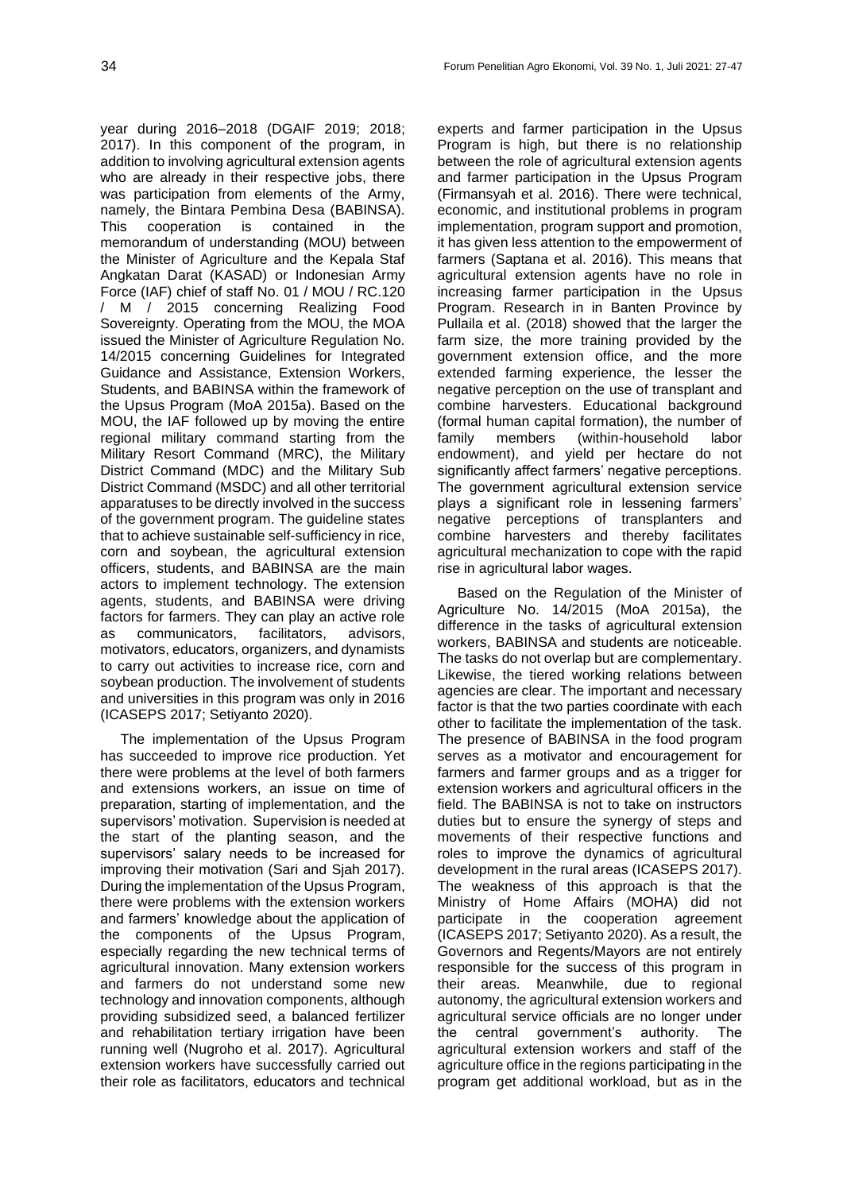year during 2016–2018 (DGAIF 2019; 2018; 2017). In this component of the program, in addition to involving agricultural extension agents who are already in their respective jobs, there was participation from elements of the Army, namely, the Bintara Pembina Desa (BABINSA). This cooperation is contained in the memorandum of understanding (MOU) between the Minister of Agriculture and the Kepala Staf Angkatan Darat (KASAD) or Indonesian Army Force (IAF) chief of staff No. 01 / MOU / RC.120 / M / 2015 concerning Realizing Food Sovereignty. Operating from the MOU, the MOA issued the Minister of Agriculture Regulation No. 14/2015 concerning Guidelines for Integrated Guidance and Assistance, Extension Workers, Students, and BABINSA within the framework of the Upsus Program (MoA 2015a). Based on the MOU, the IAF followed up by moving the entire regional military command starting from the Military Resort Command (MRC), the Military District Command (MDC) and the Military Sub District Command (MSDC) and all other territorial apparatuses to be directly involved in the success of the government program. The guideline states that to achieve sustainable self-sufficiency in rice, corn and soybean, the agricultural extension officers, students, and BABINSA are the main actors to implement technology. The extension agents, students, and BABINSA were driving factors for farmers. They can play an active role as communicators, facilitators, advisors, motivators, educators, organizers, and dynamists to carry out activities to increase rice, corn and soybean production. The involvement of students and universities in this program was only in 2016 (ICASEPS 2017; Setiyanto 2020).

The implementation of the Upsus Program has succeeded to improve rice production. Yet there were problems at the level of both farmers and extensions workers, an issue on time of preparation, starting of implementation, and the supervisors' motivation. Supervision is needed at the start of the planting season, and the supervisors' salary needs to be increased for improving their motivation (Sari and Sjah 2017). During the implementation of the Upsus Program, there were problems with the extension workers and farmers' knowledge about the application of the components of the Upsus Program, especially regarding the new technical terms of agricultural innovation. Many extension workers and farmers do not understand some new technology and innovation components, although providing subsidized seed, a balanced fertilizer and rehabilitation tertiary irrigation have been running well (Nugroho et al. 2017). Agricultural extension workers have successfully carried out their role as facilitators, educators and technical

experts and farmer participation in the Upsus Program is high, but there is no relationship between the role of agricultural extension agents and farmer participation in the Upsus Program (Firmansyah et al. 2016). There were technical, economic, and institutional problems in program implementation, program support and promotion, it has given less attention to the empowerment of farmers (Saptana et al. 2016). This means that agricultural extension agents have no role in increasing farmer participation in the Upsus Program. Research in in Banten Province by Pullaila et al. (2018) showed that the larger the farm size, the more training provided by the government extension office, and the more extended farming experience, the lesser the negative perception on the use of transplant and combine harvesters. Educational background (formal human capital formation), the number of family members (within-household labor endowment), and yield per hectare do not significantly affect farmers' negative perceptions. The government agricultural extension service plays a significant role in lessening farmers' negative perceptions of transplanters and combine harvesters and thereby facilitates agricultural mechanization to cope with the rapid rise in agricultural labor wages.

Based on the Regulation of the Minister of Agriculture No. 14/2015 (MoA 2015a), the difference in the tasks of agricultural extension workers, BABINSA and students are noticeable. The tasks do not overlap but are complementary. Likewise, the tiered working relations between agencies are clear. The important and necessary factor is that the two parties coordinate with each other to facilitate the implementation of the task. The presence of BABINSA in the food program serves as a motivator and encouragement for farmers and farmer groups and as a trigger for extension workers and agricultural officers in the field. The BABINSA is not to take on instructors duties but to ensure the synergy of steps and movements of their respective functions and roles to improve the dynamics of agricultural development in the rural areas (ICASEPS 2017). The weakness of this approach is that the Ministry of Home Affairs (MOHA) did not participate in the cooperation agreement (ICASEPS 2017; Setiyanto 2020). As a result, the Governors and Regents/Mayors are not entirely responsible for the success of this program in their areas. Meanwhile, due to regional autonomy, the agricultural extension workers and agricultural service officials are no longer under the central government's authority. The agricultural extension workers and staff of the agriculture office in the regions participating in the program get additional workload, but as in the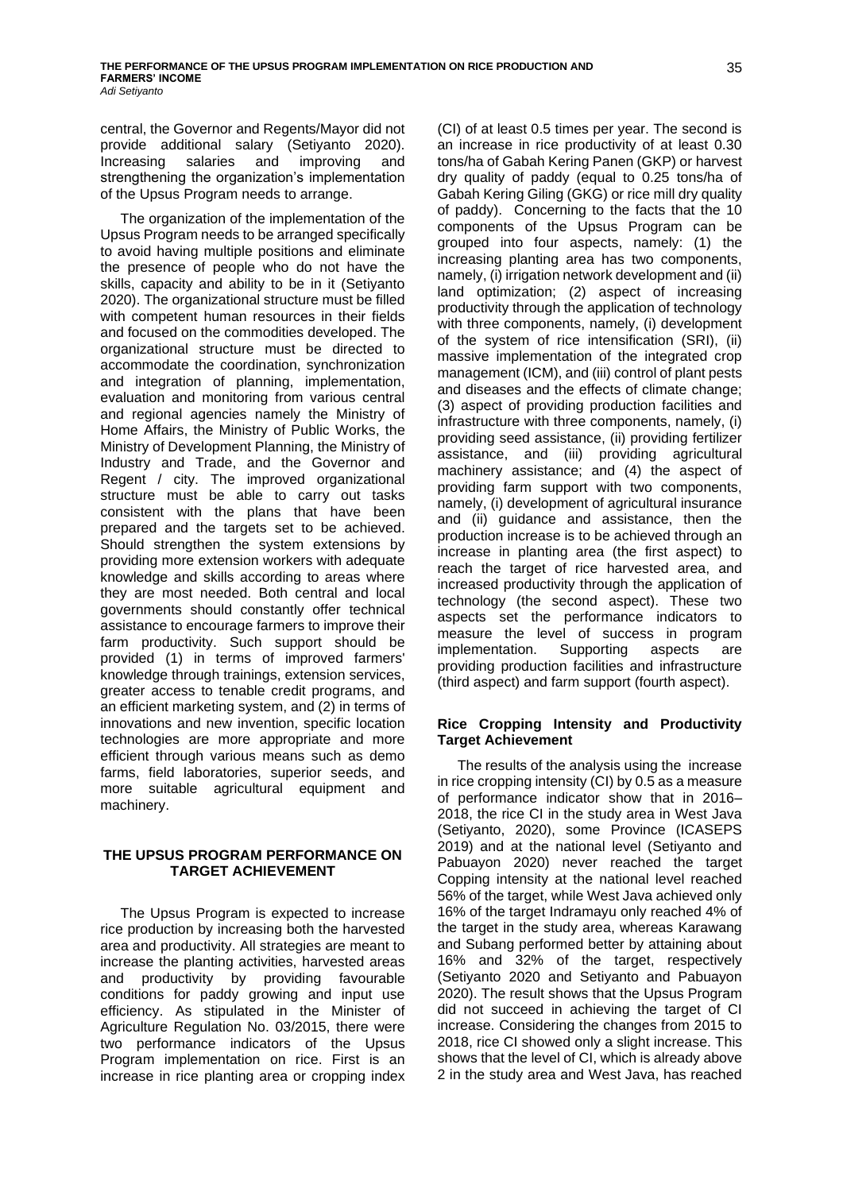central, the Governor and Regents/Mayor did not provide additional salary (Setiyanto 2020). Increasing salaries and improving and strengthening the organization's implementation of the Upsus Program needs to arrange.

The organization of the implementation of the Upsus Program needs to be arranged specifically to avoid having multiple positions and eliminate the presence of people who do not have the skills, capacity and ability to be in it (Setiyanto 2020). The organizational structure must be filled with competent human resources in their fields and focused on the commodities developed. The organizational structure must be directed to accommodate the coordination, synchronization and integration of planning, implementation, evaluation and monitoring from various central and regional agencies namely the Ministry of Home Affairs, the Ministry of Public Works, the Ministry of Development Planning, the Ministry of Industry and Trade, and the Governor and Regent / city. The improved organizational structure must be able to carry out tasks consistent with the plans that have been prepared and the targets set to be achieved. Should strengthen the system extensions by providing more extension workers with adequate knowledge and skills according to areas where they are most needed. Both central and local governments should constantly offer technical assistance to encourage farmers to improve their farm productivity. Such support should be provided (1) in terms of improved farmers' knowledge through trainings, extension services, greater access to tenable credit programs, and an efficient marketing system, and (2) in terms of innovations and new invention, specific location technologies are more appropriate and more efficient through various means such as demo farms, field laboratories, superior seeds, and more suitable agricultural equipment and machinery.

## **THE UPSUS PROGRAM PERFORMANCE ON TARGET ACHIEVEMENT**

The Upsus Program is expected to increase rice production by increasing both the harvested area and productivity. All strategies are meant to increase the planting activities, harvested areas and productivity by providing favourable conditions for paddy growing and input use efficiency. As stipulated in the Minister of Agriculture Regulation No. 03/2015, there were two performance indicators of the Upsus Program implementation on rice. First is an increase in rice planting area or cropping index

(CI) of at least 0.5 times per year. The second is an increase in rice productivity of at least 0.30 tons/ha of Gabah Kering Panen (GKP) or harvest dry quality of paddy (equal to 0.25 tons/ha of Gabah Kering Giling (GKG) or rice mill dry quality of paddy). Concerning to the facts that the 10 components of the Upsus Program can be grouped into four aspects, namely: (1) the increasing planting area has two components, namely, (i) irrigation network development and (ii) land optimization; (2) aspect of increasing productivity through the application of technology with three components, namely, (i) development of the system of rice intensification (SRI), (ii) massive implementation of the integrated crop management (ICM), and (iii) control of plant pests and diseases and the effects of climate change; (3) aspect of providing production facilities and infrastructure with three components, namely, (i) providing seed assistance, (ii) providing fertilizer assistance, and (iii) providing agricultural machinery assistance; and (4) the aspect of providing farm support with two components, namely, (i) development of agricultural insurance and (ii) guidance and assistance, then the production increase is to be achieved through an increase in planting area (the first aspect) to reach the target of rice harvested area, and increased productivity through the application of technology (the second aspect). These two aspects set the performance indicators to measure the level of success in program implementation. Supporting aspects are providing production facilities and infrastructure (third aspect) and farm support (fourth aspect).

## **Rice Cropping Intensity and Productivity Target Achievement**

The results of the analysis using the increase in rice cropping intensity (CI) by 0.5 as a measure of performance indicator show that in 2016– 2018, the rice CI in the study area in West Java (Setiyanto, 2020), some Province (ICASEPS 2019) and at the national level (Setiyanto and Pabuayon 2020) never reached the target Copping intensity at the national level reached 56% of the target, while West Java achieved only 16% of the target Indramayu only reached 4% of the target in the study area, whereas Karawang and Subang performed better by attaining about 16% and 32% of the target, respectively (Setiyanto 2020 and Setiyanto and Pabuayon 2020). The result shows that the Upsus Program did not succeed in achieving the target of CI increase. Considering the changes from 2015 to 2018, rice CI showed only a slight increase. This shows that the level of CI, which is already above 2 in the study area and West Java, has reached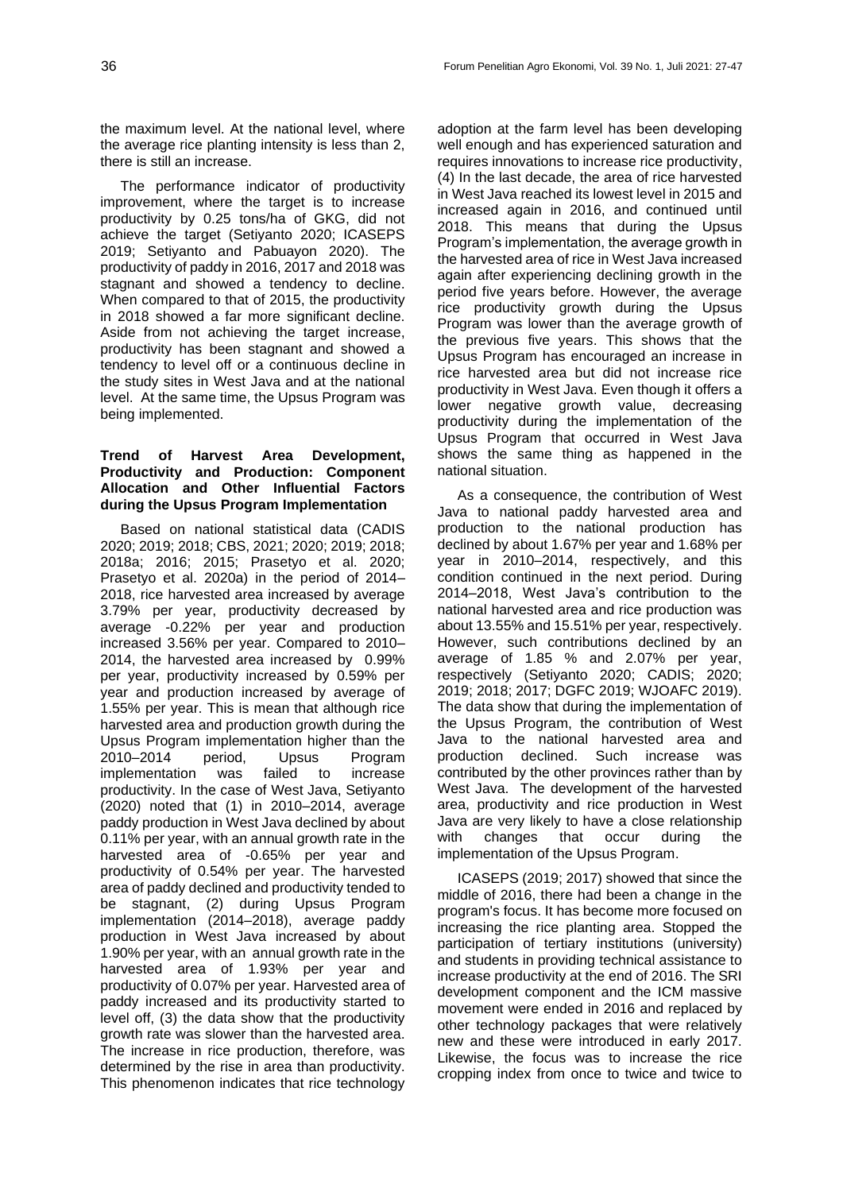the maximum level. At the national level, where the average rice planting intensity is less than 2, there is still an increase.

The performance indicator of productivity improvement, where the target is to increase productivity by 0.25 tons/ha of GKG, did not achieve the target (Setiyanto 2020; ICASEPS 2019; Setiyanto and Pabuayon 2020). The productivity of paddy in 2016, 2017 and 2018 was stagnant and showed a tendency to decline. When compared to that of 2015, the productivity in 2018 showed a far more significant decline. Aside from not achieving the target increase, productivity has been stagnant and showed a tendency to level off or a continuous decline in the study sites in West Java and at the national level. At the same time, the Upsus Program was being implemented.

### **Trend of Harvest Area Development, Productivity and Production: Component Allocation and Other Influential Factors during the Upsus Program Implementation**

Based on national statistical data (CADIS 2020; 2019; 2018; CBS, 2021; 2020; 2019; 2018; 2018a; 2016; 2015; Prasetyo et al. 2020; Prasetyo et al. 2020a) in the period of 2014– 2018, rice harvested area increased by average 3.79% per year, productivity decreased by average -0.22% per year and production increased 3.56% per year. Compared to 2010– 2014, the harvested area increased by 0.99% per year, productivity increased by 0.59% per year and production increased by average of 1.55% per year. This is mean that although rice harvested area and production growth during the Upsus Program implementation higher than the 2010–2014 period, Upsus Program implementation was failed to increase productivity. In the case of West Java, Setiyanto (2020) noted that (1) in 2010–2014, average paddy production in West Java declined by about 0.11% per year, with an annual growth rate in the harvested area of -0.65% per year and productivity of 0.54% per year. The harvested area of paddy declined and productivity tended to be stagnant, (2) during Upsus Program implementation (2014–2018), average paddy production in West Java increased by about 1.90% per year, with an annual growth rate in the harvested area of 1.93% per year and productivity of 0.07% per year. Harvested area of paddy increased and its productivity started to level off, (3) the data show that the productivity growth rate was slower than the harvested area. The increase in rice production, therefore, was determined by the rise in area than productivity. This phenomenon indicates that rice technology

adoption at the farm level has been developing well enough and has experienced saturation and requires innovations to increase rice productivity, (4) In the last decade, the area of rice harvested in West Java reached its lowest level in 2015 and increased again in 2016, and continued until 2018. This means that during the Upsus Program's implementation, the average growth in the harvested area of rice in West Java increased again after experiencing declining growth in the period five years before. However, the average rice productivity growth during the Upsus Program was lower than the average growth of the previous five years. This shows that the Upsus Program has encouraged an increase in rice harvested area but did not increase rice productivity in West Java. Even though it offers a lower negative growth value, decreasing productivity during the implementation of the Upsus Program that occurred in West Java shows the same thing as happened in the national situation.

As a consequence, the contribution of West Java to national paddy harvested area and production to the national production has declined by about 1.67% per year and 1.68% per year in 2010–2014, respectively, and this condition continued in the next period. During 2014–2018, West Java's contribution to the national harvested area and rice production was about 13.55% and 15.51% per year, respectively. However, such contributions declined by an average of 1.85 % and 2.07% per year, respectively (Setiyanto 2020; CADIS; 2020; 2019; 2018; 2017; DGFC 2019; WJOAFC 2019). The data show that during the implementation of the Upsus Program, the contribution of West Java to the national harvested area and production declined. Such increase was contributed by the other provinces rather than by West Java. The development of the harvested area, productivity and rice production in West Java are very likely to have a close relationship with changes that occur during the implementation of the Upsus Program.

ICASEPS (2019; 2017) showed that since the middle of 2016, there had been a change in the program's focus. It has become more focused on increasing the rice planting area. Stopped the participation of tertiary institutions (university) and students in providing technical assistance to increase productivity at the end of 2016. The SRI development component and the ICM massive movement were ended in 2016 and replaced by other technology packages that were relatively new and these were introduced in early 2017. Likewise, the focus was to increase the rice cropping index from once to twice and twice to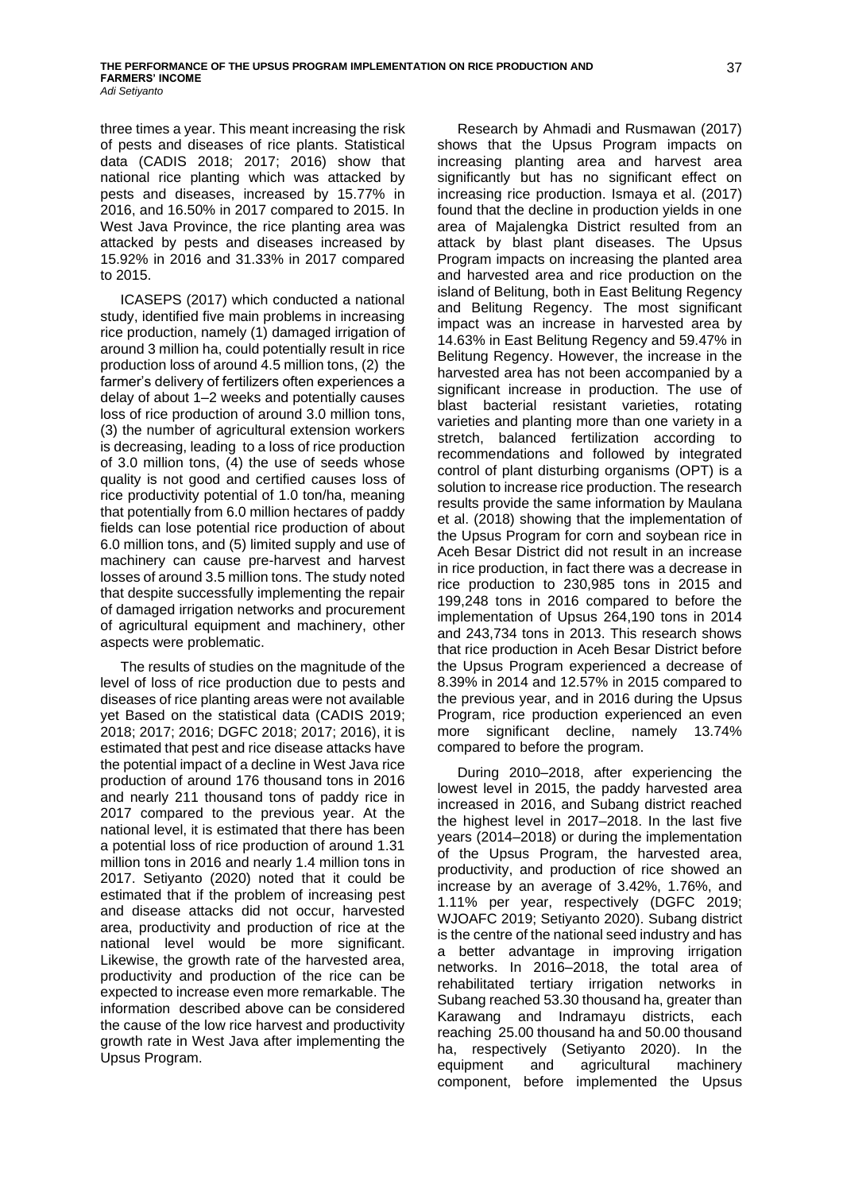three times a year. This meant increasing the risk of pests and diseases of rice plants. Statistical data (CADIS 2018; 2017; 2016) show that national rice planting which was attacked by pests and diseases, increased by 15.77% in 2016, and 16.50% in 2017 compared to 2015. In West Java Province, the rice planting area was attacked by pests and diseases increased by 15.92% in 2016 and 31.33% in 2017 compared to 2015.

ICASEPS (2017) which conducted a national study, identified five main problems in increasing rice production, namely (1) damaged irrigation of around 3 million ha, could potentially result in rice production loss of around 4.5 million tons, (2) the farmer's delivery of fertilizers often experiences a delay of about 1–2 weeks and potentially causes loss of rice production of around 3.0 million tons, (3) the number of agricultural extension workers is decreasing, leading to a loss of rice production of 3.0 million tons, (4) the use of seeds whose quality is not good and certified causes loss of rice productivity potential of 1.0 ton/ha, meaning that potentially from 6.0 million hectares of paddy fields can lose potential rice production of about 6.0 million tons, and (5) limited supply and use of machinery can cause pre-harvest and harvest losses of around 3.5 million tons. The study noted that despite successfully implementing the repair of damaged irrigation networks and procurement of agricultural equipment and machinery, other aspects were problematic.

The results of studies on the magnitude of the level of loss of rice production due to pests and diseases of rice planting areas were not available yet Based on the statistical data (CADIS 2019; 2018; 2017; 2016; DGFC 2018; 2017; 2016), it is estimated that pest and rice disease attacks have the potential impact of a decline in West Java rice production of around 176 thousand tons in 2016 and nearly 211 thousand tons of paddy rice in 2017 compared to the previous year. At the national level, it is estimated that there has been a potential loss of rice production of around 1.31 million tons in 2016 and nearly 1.4 million tons in 2017. Setiyanto (2020) noted that it could be estimated that if the problem of increasing pest and disease attacks did not occur, harvested area, productivity and production of rice at the national level would be more significant. Likewise, the growth rate of the harvested area, productivity and production of the rice can be expected to increase even more remarkable. The information described above can be considered the cause of the low rice harvest and productivity growth rate in West Java after implementing the Upsus Program.

Research by Ahmadi and Rusmawan (2017) shows that the Upsus Program impacts on increasing planting area and harvest area significantly but has no significant effect on increasing rice production. Ismaya et al. (2017) found that the decline in production yields in one area of Majalengka District resulted from an attack by blast plant diseases. The Upsus Program impacts on increasing the planted area and harvested area and rice production on the island of Belitung, both in East Belitung Regency and Belitung Regency. The most significant impact was an increase in harvested area by 14.63% in East Belitung Regency and 59.47% in Belitung Regency. However, the increase in the harvested area has not been accompanied by a significant increase in production. The use of blast bacterial resistant varieties, rotating varieties and planting more than one variety in a stretch, balanced fertilization according to recommendations and followed by integrated control of plant disturbing organisms (OPT) is a solution to increase rice production. The research results provide the same information by Maulana et al. (2018) showing that the implementation of the Upsus Program for corn and soybean rice in Aceh Besar District did not result in an increase in rice production, in fact there was a decrease in rice production to 230,985 tons in 2015 and 199,248 tons in 2016 compared to before the implementation of Upsus 264,190 tons in 2014 and 243,734 tons in 2013. This research shows that rice production in Aceh Besar District before the Upsus Program experienced a decrease of 8.39% in 2014 and 12.57% in 2015 compared to the previous year, and in 2016 during the Upsus Program, rice production experienced an even more significant decline, namely 13.74% compared to before the program.

During 2010–2018, after experiencing the lowest level in 2015, the paddy harvested area increased in 2016, and Subang district reached the highest level in 2017–2018. In the last five years (2014–2018) or during the implementation of the Upsus Program, the harvested area, productivity, and production of rice showed an increase by an average of 3.42%, 1.76%, and 1.11% per year, respectively (DGFC 2019; WJOAFC 2019; Setiyanto 2020). Subang district is the centre of the national seed industry and has a better advantage in improving irrigation networks. In 2016–2018, the total area of rehabilitated tertiary irrigation networks in Subang reached 53.30 thousand ha, greater than Karawang and Indramayu districts, each reaching 25.00 thousand ha and 50.00 thousand ha, respectively (Setiyanto 2020). In the equipment and agricultural machinery component, before implemented the Upsus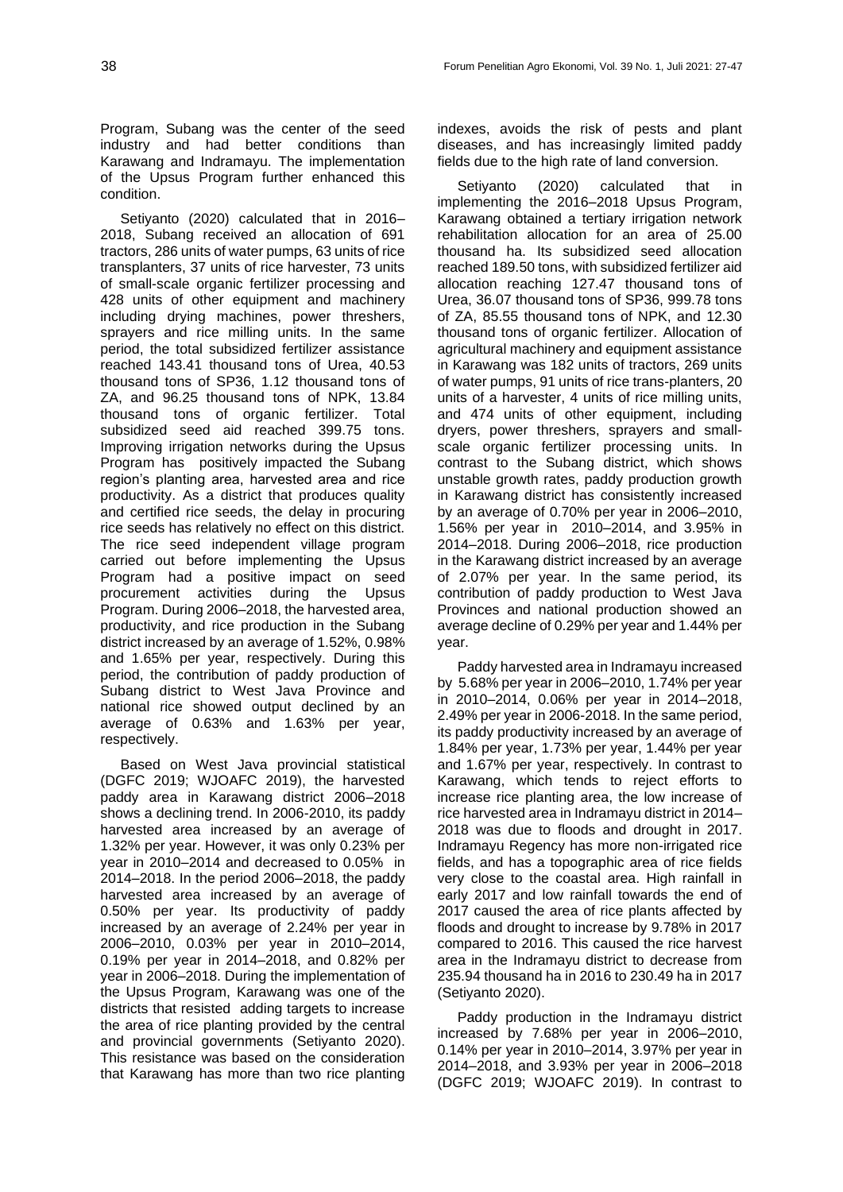Program, Subang was the center of the seed industry and had better conditions than Karawang and Indramayu. The implementation of the Upsus Program further enhanced this condition.

Setiyanto (2020) calculated that in 2016– 2018, Subang received an allocation of 691 tractors, 286 units of water pumps, 63 units of rice transplanters, 37 units of rice harvester, 73 units of small-scale organic fertilizer processing and 428 units of other equipment and machinery including drying machines, power threshers, sprayers and rice milling units. In the same period, the total subsidized fertilizer assistance reached 143.41 thousand tons of Urea, 40.53 thousand tons of SP36, 1.12 thousand tons of ZA, and 96.25 thousand tons of NPK, 13.84 thousand tons of organic fertilizer. Total subsidized seed aid reached 399.75 tons. Improving irrigation networks during the Upsus Program has positively impacted the Subang region's planting area, harvested area and rice productivity. As a district that produces quality and certified rice seeds, the delay in procuring rice seeds has relatively no effect on this district. The rice seed independent village program carried out before implementing the Upsus Program had a positive impact on seed procurement activities during the Upsus Program. During 2006–2018, the harvested area, productivity, and rice production in the Subang district increased by an average of 1.52%, 0.98% and 1.65% per year, respectively. During this period, the contribution of paddy production of Subang district to West Java Province and national rice showed output declined by an average of 0.63% and 1.63% per year, respectively.

Based on West Java provincial statistical (DGFC 2019; WJOAFC 2019), the harvested paddy area in Karawang district 2006–2018 shows a declining trend. In 2006-2010, its paddy harvested area increased by an average of 1.32% per year. However, it was only 0.23% per year in 2010–2014 and decreased to 0.05% in 2014–2018. In the period 2006–2018, the paddy harvested area increased by an average of 0.50% per year. Its productivity of paddy increased by an average of 2.24% per year in 2006–2010, 0.03% per year in 2010–2014, 0.19% per year in 2014–2018, and 0.82% per year in 2006–2018. During the implementation of the Upsus Program, Karawang was one of the districts that resisted adding targets to increase the area of rice planting provided by the central and provincial governments (Setiyanto 2020). This resistance was based on the consideration that Karawang has more than two rice planting indexes, avoids the risk of pests and plant diseases, and has increasingly limited paddy fields due to the high rate of land conversion.

Setiyanto (2020) calculated that in implementing the 2016–2018 Upsus Program, Karawang obtained a tertiary irrigation network rehabilitation allocation for an area of 25.00 thousand ha. Its subsidized seed allocation reached 189.50 tons, with subsidized fertilizer aid allocation reaching 127.47 thousand tons of Urea, 36.07 thousand tons of SP36, 999.78 tons of ZA, 85.55 thousand tons of NPK, and 12.30 thousand tons of organic fertilizer. Allocation of agricultural machinery and equipment assistance in Karawang was 182 units of tractors, 269 units of water pumps, 91 units of rice trans-planters, 20 units of a harvester, 4 units of rice milling units, and 474 units of other equipment, including dryers, power threshers, sprayers and smallscale organic fertilizer processing units. In contrast to the Subang district, which shows unstable growth rates, paddy production growth in Karawang district has consistently increased by an average of 0.70% per year in 2006–2010, 1.56% per year in 2010–2014, and 3.95% in 2014–2018. During 2006–2018, rice production in the Karawang district increased by an average of 2.07% per year. In the same period, its contribution of paddy production to West Java Provinces and national production showed an average decline of 0.29% per year and 1.44% per year.

Paddy harvested area in Indramayu increased by 5.68% per year in 2006–2010, 1.74% per year in 2010–2014, 0.06% per year in 2014–2018, 2.49% per year in 2006-2018. In the same period, its paddy productivity increased by an average of 1.84% per year, 1.73% per year, 1.44% per year and 1.67% per year, respectively. In contrast to Karawang, which tends to reject efforts to increase rice planting area, the low increase of rice harvested area in Indramayu district in 2014– 2018 was due to floods and drought in 2017. Indramayu Regency has more non-irrigated rice fields, and has a topographic area of rice fields very close to the coastal area. High rainfall in early 2017 and low rainfall towards the end of 2017 caused the area of rice plants affected by floods and drought to increase by 9.78% in 2017 compared to 2016. This caused the rice harvest area in the Indramayu district to decrease from 235.94 thousand ha in 2016 to 230.49 ha in 2017 (Setiyanto 2020).

Paddy production in the Indramayu district increased by 7.68% per year in 2006–2010, 0.14% per year in 2010–2014, 3.97% per year in 2014–2018, and 3.93% per year in 2006–2018 (DGFC 2019; WJOAFC 2019). In contrast to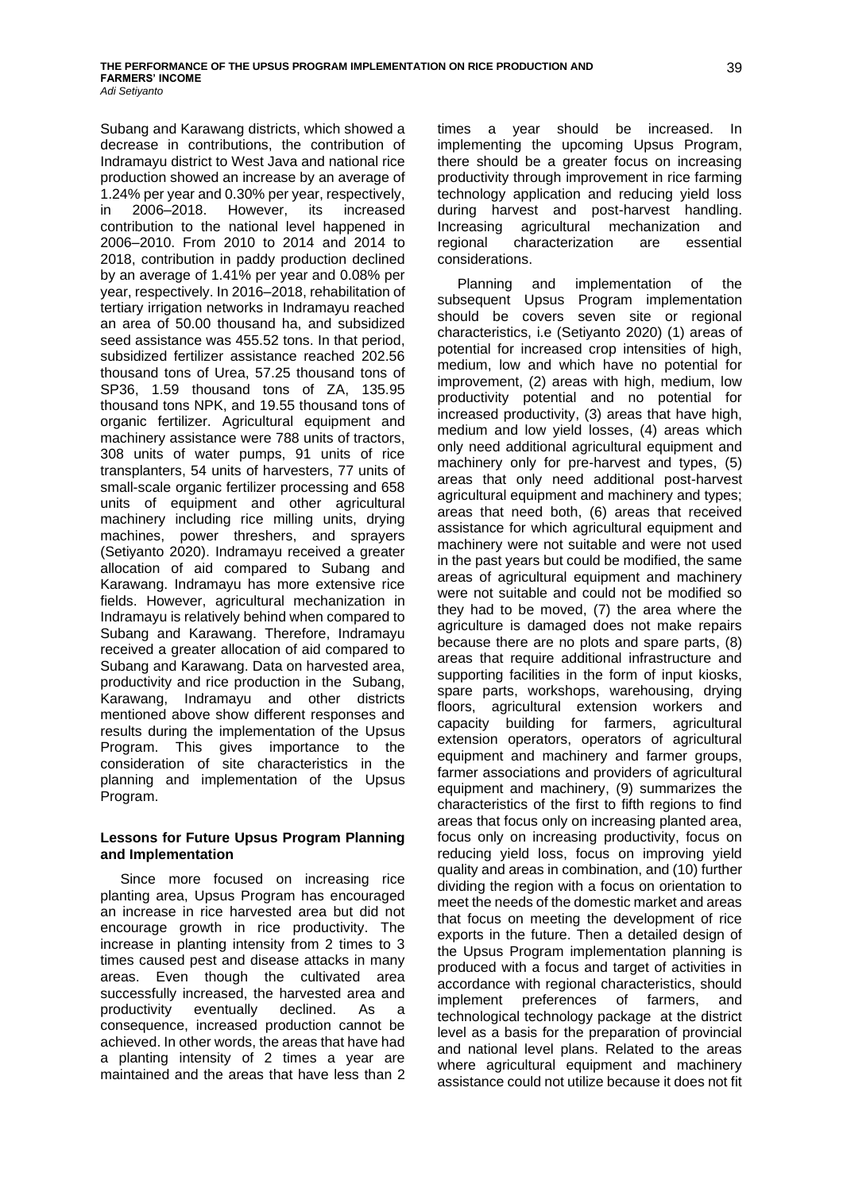Subang and Karawang districts, which showed a decrease in contributions, the contribution of Indramayu district to West Java and national rice production showed an increase by an average of 1.24% per year and 0.30% per year, respectively, in 2006–2018. However, its increased contribution to the national level happened in 2006–2010. From 2010 to 2014 and 2014 to 2018, contribution in paddy production declined by an average of 1.41% per year and 0.08% per year, respectively. In 2016–2018, rehabilitation of tertiary irrigation networks in Indramayu reached an area of 50.00 thousand ha, and subsidized seed assistance was 455.52 tons. In that period, subsidized fertilizer assistance reached 202.56 thousand tons of Urea, 57.25 thousand tons of SP36, 1.59 thousand tons of ZA, 135.95 thousand tons NPK, and 19.55 thousand tons of organic fertilizer. Agricultural equipment and machinery assistance were 788 units of tractors, 308 units of water pumps, 91 units of rice transplanters, 54 units of harvesters, 77 units of small-scale organic fertilizer processing and 658 units of equipment and other agricultural machinery including rice milling units, drying machines, power threshers, and sprayers (Setiyanto 2020). Indramayu received a greater allocation of aid compared to Subang and Karawang. Indramayu has more extensive rice fields. However, agricultural mechanization in Indramayu is relatively behind when compared to Subang and Karawang. Therefore, Indramayu received a greater allocation of aid compared to Subang and Karawang. Data on harvested area, productivity and rice production in the Subang, Karawang, Indramayu and other districts mentioned above show different responses and results during the implementation of the Upsus Program. This gives importance to the consideration of site characteristics in the planning and implementation of the Upsus Program.

## **Lessons for Future Upsus Program Planning and Implementation**

Since more focused on increasing rice planting area, Upsus Program has encouraged an increase in rice harvested area but did not encourage growth in rice productivity. The increase in planting intensity from 2 times to 3 times caused pest and disease attacks in many areas. Even though the cultivated area successfully increased, the harvested area and productivity eventually declined. As a consequence, increased production cannot be achieved. In other words, the areas that have had a planting intensity of 2 times a year are maintained and the areas that have less than 2 times a year should be increased. In implementing the upcoming Upsus Program, there should be a greater focus on increasing productivity through improvement in rice farming technology application and reducing yield loss during harvest and post-harvest handling. Increasing agricultural mechanization and regional characterization are essential considerations.

Planning and implementation of the subsequent Upsus Program implementation should be covers seven site or regional characteristics, i.e (Setiyanto 2020) (1) areas of potential for increased crop intensities of high, medium, low and which have no potential for improvement, (2) areas with high, medium, low productivity potential and no potential for increased productivity, (3) areas that have high, medium and low yield losses, (4) areas which only need additional agricultural equipment and machinery only for pre-harvest and types, (5) areas that only need additional post-harvest agricultural equipment and machinery and types; areas that need both, (6) areas that received assistance for which agricultural equipment and machinery were not suitable and were not used in the past years but could be modified, the same areas of agricultural equipment and machinery were not suitable and could not be modified so they had to be moved, (7) the area where the agriculture is damaged does not make repairs because there are no plots and spare parts, (8) areas that require additional infrastructure and supporting facilities in the form of input kiosks, spare parts, workshops, warehousing, drying floors, agricultural extension workers and capacity building for farmers, agricultural extension operators, operators of agricultural equipment and machinery and farmer groups, farmer associations and providers of agricultural equipment and machinery, (9) summarizes the characteristics of the first to fifth regions to find areas that focus only on increasing planted area, focus only on increasing productivity, focus on reducing yield loss, focus on improving yield quality and areas in combination, and (10) further dividing the region with a focus on orientation to meet the needs of the domestic market and areas that focus on meeting the development of rice exports in the future. Then a detailed design of the Upsus Program implementation planning is produced with a focus and target of activities in accordance with regional characteristics, should implement preferences of farmers, and technological technology package at the district level as a basis for the preparation of provincial and national level plans. Related to the areas where agricultural equipment and machinery assistance could not utilize because it does not fit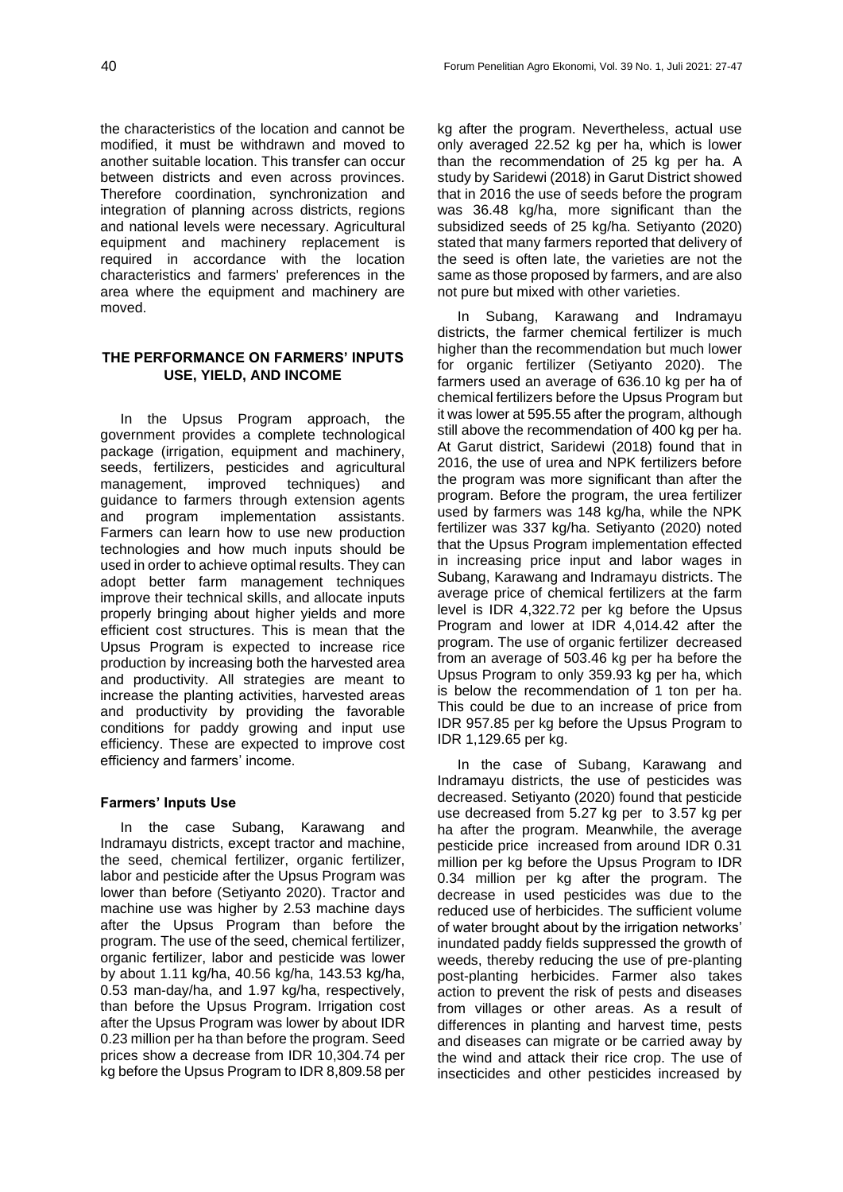the characteristics of the location and cannot be modified, it must be withdrawn and moved to another suitable location. This transfer can occur between districts and even across provinces. Therefore coordination, synchronization and integration of planning across districts, regions and national levels were necessary. Agricultural equipment and machinery replacement is required in accordance with the location characteristics and farmers' preferences in the area where the equipment and machinery are moved.

# **THE PERFORMANCE ON FARMERS' INPUTS USE, YIELD, AND INCOME**

In the Upsus Program approach, the government provides a complete technological package (irrigation, equipment and machinery, seeds, fertilizers, pesticides and agricultural management, improved techniques) and guidance to farmers through extension agents and program implementation assistants. Farmers can learn how to use new production technologies and how much inputs should be used in order to achieve optimal results. They can adopt better farm management techniques improve their technical skills, and allocate inputs properly bringing about higher yields and more efficient cost structures. This is mean that the Upsus Program is expected to increase rice production by increasing both the harvested area and productivity. All strategies are meant to increase the planting activities, harvested areas and productivity by providing the favorable conditions for paddy growing and input use efficiency. These are expected to improve cost efficiency and farmers' income.

## **Farmers' Inputs Use**

In the case Subang, Karawang and Indramayu districts, except tractor and machine, the seed, chemical fertilizer, organic fertilizer, labor and pesticide after the Upsus Program was lower than before (Setiyanto 2020). Tractor and machine use was higher by 2.53 machine days after the Upsus Program than before the program. The use of the seed, chemical fertilizer, organic fertilizer, labor and pesticide was lower by about 1.11 kg/ha, 40.56 kg/ha, 143.53 kg/ha, 0.53 man-day/ha, and 1.97 kg/ha, respectively, than before the Upsus Program. Irrigation cost after the Upsus Program was lower by about IDR 0.23 million per ha than before the program. Seed prices show a decrease from IDR 10,304.74 per kg before the Upsus Program to IDR 8,809.58 per

kg after the program. Nevertheless, actual use only averaged 22.52 kg per ha, which is lower than the recommendation of 25 kg per ha. A study by Saridewi (2018) in Garut District showed that in 2016 the use of seeds before the program was 36.48 kg/ha, more significant than the subsidized seeds of 25 kg/ha. Setiyanto (2020) stated that many farmers reported that delivery of the seed is often late, the varieties are not the same as those proposed by farmers, and are also not pure but mixed with other varieties.

In Subang, Karawang and Indramayu districts, the farmer chemical fertilizer is much higher than the recommendation but much lower for organic fertilizer (Setiyanto 2020). The farmers used an average of 636.10 kg per ha of chemical fertilizers before the Upsus Program but it was lower at 595.55 after the program, although still above the recommendation of 400 kg per ha. At Garut district, Saridewi (2018) found that in 2016, the use of urea and NPK fertilizers before the program was more significant than after the program. Before the program, the urea fertilizer used by farmers was 148 kg/ha, while the NPK fertilizer was 337 kg/ha. Setiyanto (2020) noted that the Upsus Program implementation effected in increasing price input and labor wages in Subang, Karawang and Indramayu districts. The average price of chemical fertilizers at the farm level is IDR 4,322.72 per kg before the Upsus Program and lower at IDR 4,014.42 after the program. The use of organic fertilizer decreased from an average of 503.46 kg per ha before the Upsus Program to only 359.93 kg per ha, which is below the recommendation of 1 ton per ha. This could be due to an increase of price from IDR 957.85 per kg before the Upsus Program to IDR 1,129.65 per kg.

In the case of Subang, Karawang and Indramayu districts, the use of pesticides was decreased. Setiyanto (2020) found that pesticide use decreased from 5.27 kg per to 3.57 kg per ha after the program. Meanwhile, the average pesticide price increased from around IDR 0.31 million per kg before the Upsus Program to IDR 0.34 million per kg after the program. The decrease in used pesticides was due to the reduced use of herbicides. The sufficient volume of water brought about by the irrigation networks' inundated paddy fields suppressed the growth of weeds, thereby reducing the use of pre-planting post-planting herbicides. Farmer also takes action to prevent the risk of pests and diseases from villages or other areas. As a result of differences in planting and harvest time, pests and diseases can migrate or be carried away by the wind and attack their rice crop. The use of insecticides and other pesticides increased by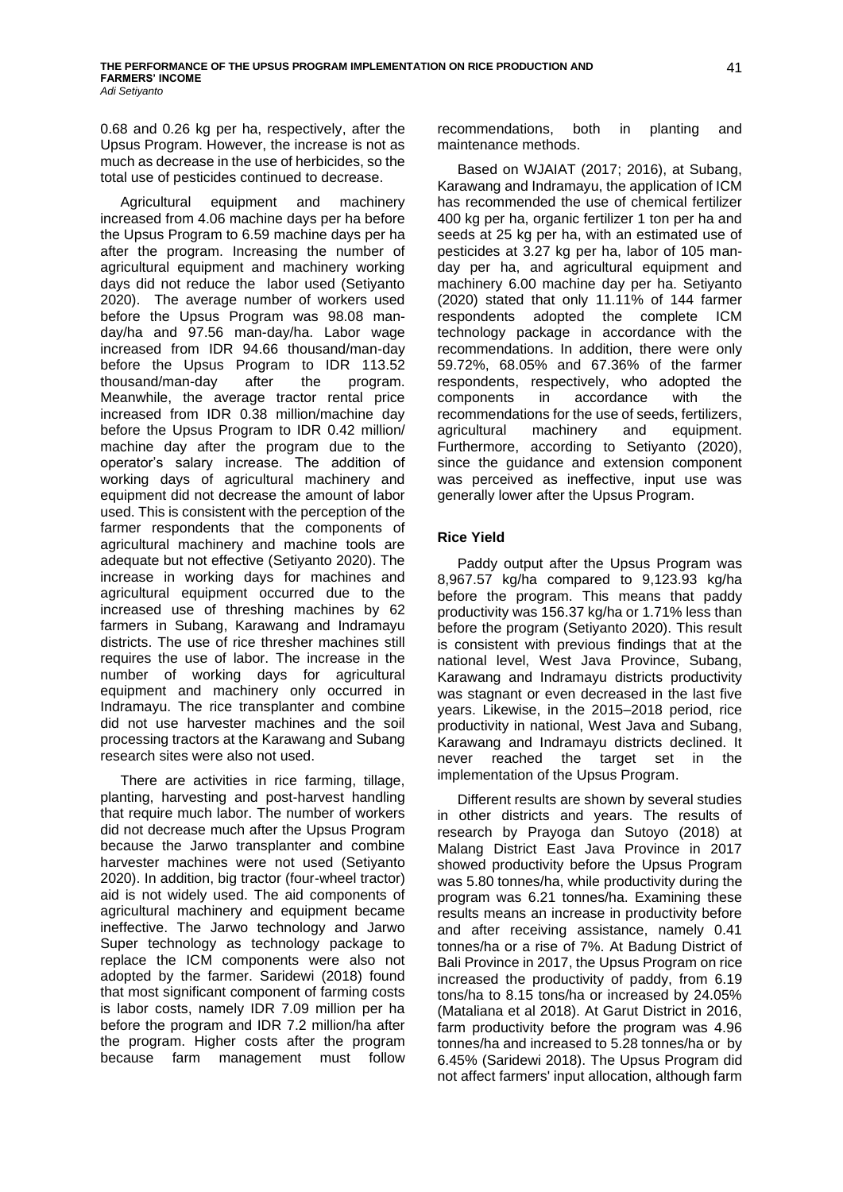0.68 and 0.26 kg per ha, respectively, after the Upsus Program. However, the increase is not as much as decrease in the use of herbicides, so the total use of pesticides continued to decrease.

Agricultural equipment and machinery increased from 4.06 machine days per ha before the Upsus Program to 6.59 machine days per ha after the program. Increasing the number of agricultural equipment and machinery working days did not reduce the labor used (Setiyanto 2020). The average number of workers used before the Upsus Program was 98.08 manday/ha and 97.56 man-day/ha. Labor wage increased from IDR 94.66 thousand/man-day before the Upsus Program to IDR 113.52 thousand/man-day after the program. Meanwhile, the average tractor rental price increased from IDR 0.38 million/machine day before the Upsus Program to IDR 0.42 million/ machine day after the program due to the operator's salary increase. The addition of working days of agricultural machinery and equipment did not decrease the amount of labor used. This is consistent with the perception of the farmer respondents that the components of agricultural machinery and machine tools are adequate but not effective (Setiyanto 2020). The increase in working days for machines and agricultural equipment occurred due to the increased use of threshing machines by 62 farmers in Subang, Karawang and Indramayu districts. The use of rice thresher machines still requires the use of labor. The increase in the number of working days for agricultural equipment and machinery only occurred in Indramayu. The rice transplanter and combine did not use harvester machines and the soil processing tractors at the Karawang and Subang research sites were also not used.

There are activities in rice farming, tillage, planting, harvesting and post-harvest handling that require much labor. The number of workers did not decrease much after the Upsus Program because the Jarwo transplanter and combine harvester machines were not used (Setiyanto 2020). In addition, big tractor (four-wheel tractor) aid is not widely used. The aid components of agricultural machinery and equipment became ineffective. The Jarwo technology and Jarwo Super technology as technology package to replace the ICM components were also not adopted by the farmer. Saridewi (2018) found that most significant component of farming costs is labor costs, namely IDR 7.09 million per ha before the program and IDR 7.2 million/ha after the program. Higher costs after the program because farm management must follow

recommendations, both in planting and maintenance methods.

Based on WJAIAT (2017; 2016), at Subang, Karawang and Indramayu, the application of ICM has recommended the use of chemical fertilizer 400 kg per ha, organic fertilizer 1 ton per ha and seeds at 25 kg per ha, with an estimated use of pesticides at 3.27 kg per ha, labor of 105 manday per ha, and agricultural equipment and machinery 6.00 machine day per ha. Setiyanto (2020) stated that only 11.11% of 144 farmer respondents adopted the complete ICM technology package in accordance with the recommendations. In addition, there were only 59.72%, 68.05% and 67.36% of the farmer respondents, respectively, who adopted the components in accordance with the recommendations for the use of seeds, fertilizers, agricultural machinery and equipment. Furthermore, according to Setiyanto (2020), since the guidance and extension component was perceived as ineffective, input use was generally lower after the Upsus Program.

# **Rice Yield**

Paddy output after the Upsus Program was 8,967.57 kg/ha compared to 9,123.93 kg/ha before the program. This means that paddy productivity was 156.37 kg/ha or 1.71% less than before the program (Setiyanto 2020). This result is consistent with previous findings that at the national level, West Java Province, Subang, Karawang and Indramayu districts productivity was stagnant or even decreased in the last five years. Likewise, in the 2015–2018 period, rice productivity in national, West Java and Subang, Karawang and Indramayu districts declined. It never reached the target set in the implementation of the Upsus Program.

Different results are shown by several studies in other districts and years. The results of research by Prayoga dan Sutoyo (2018) at Malang District East Java Province in 2017 showed productivity before the Upsus Program was 5.80 tonnes/ha, while productivity during the program was 6.21 tonnes/ha. Examining these results means an increase in productivity before and after receiving assistance, namely 0.41 tonnes/ha or a rise of 7%. At Badung District of Bali Province in 2017, the Upsus Program on rice increased the productivity of paddy, from 6.19 tons/ha to 8.15 tons/ha or increased by 24.05% (Mataliana et al 2018). At Garut District in 2016, farm productivity before the program was 4.96 tonnes/ha and increased to 5.28 tonnes/ha or by 6.45% (Saridewi 2018). The Upsus Program did not affect farmers' input allocation, although farm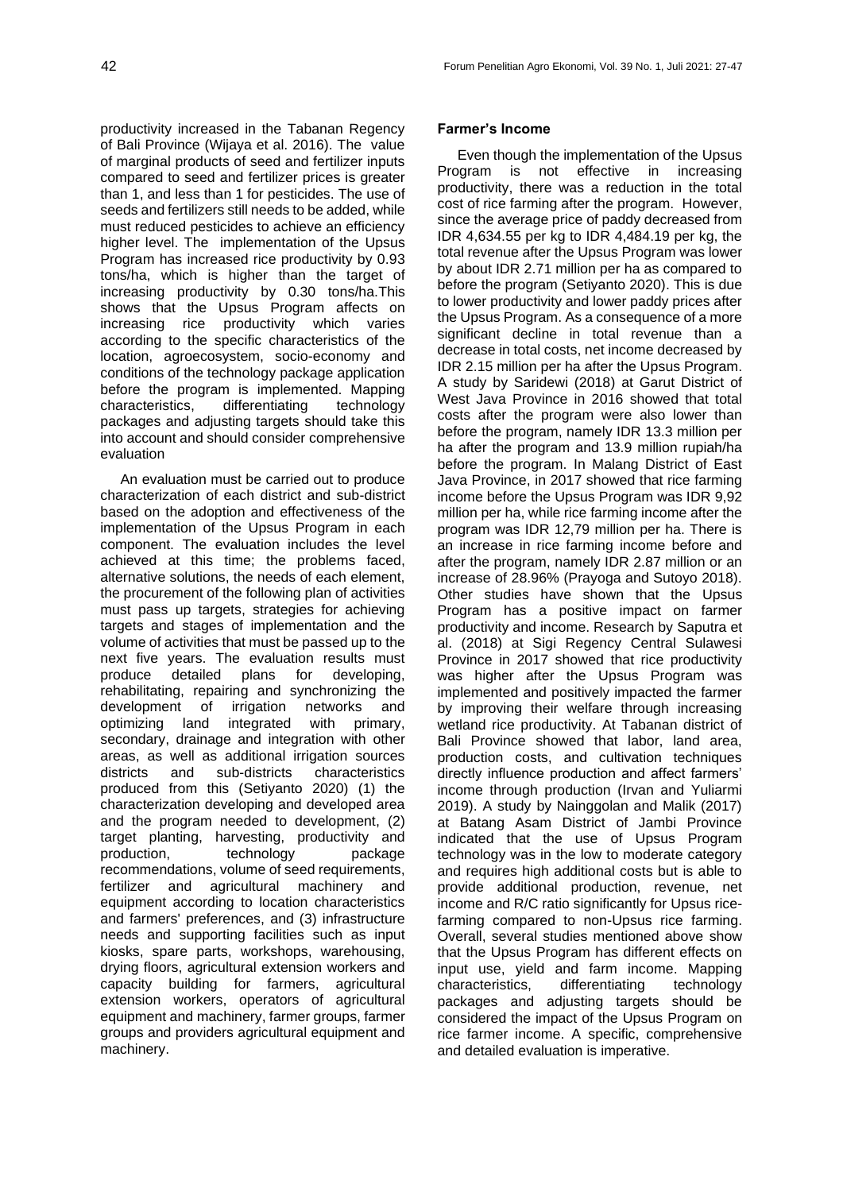productivity increased in the Tabanan Regency of Bali Province (Wijaya et al. 2016). The value of marginal products of seed and fertilizer inputs compared to seed and fertilizer prices is greater than 1, and less than 1 for pesticides. The use of seeds and fertilizers still needs to be added, while must reduced pesticides to achieve an efficiency higher level. The implementation of the Upsus Program has increased rice productivity by 0.93 tons/ha, which is higher than the target of increasing productivity by 0.30 tons/ha.This shows that the Upsus Program affects on increasing rice productivity which varies according to the specific characteristics of the location, agroecosystem, socio-economy and conditions of the technology package application before the program is implemented. Mapping characteristics, differentiating technology packages and adjusting targets should take this into account and should consider comprehensive evaluation

An evaluation must be carried out to produce characterization of each district and sub-district based on the adoption and effectiveness of the implementation of the Upsus Program in each component. The evaluation includes the level achieved at this time; the problems faced, alternative solutions, the needs of each element, the procurement of the following plan of activities must pass up targets, strategies for achieving targets and stages of implementation and the volume of activities that must be passed up to the next five years. The evaluation results must produce detailed plans for developing, rehabilitating, repairing and synchronizing the development of irrigation networks and<br>optimizing land integrated with primarv. optimizing land integrated with primary, secondary, drainage and integration with other areas, as well as additional irrigation sources districts and sub-districts characteristics produced from this (Setiyanto 2020) (1) the characterization developing and developed area and the program needed to development, (2) target planting, harvesting, productivity and production, technology package recommendations, volume of seed requirements, fertilizer and agricultural machinery and equipment according to location characteristics and farmers' preferences, and (3) infrastructure needs and supporting facilities such as input kiosks, spare parts, workshops, warehousing, drying floors, agricultural extension workers and capacity building for farmers, agricultural extension workers, operators of agricultural equipment and machinery, farmer groups, farmer groups and providers agricultural equipment and machinery.

## **Farmer's Income**

Even though the implementation of the Upsus Program is not effective in increasing productivity, there was a reduction in the total cost of rice farming after the program. However, since the average price of paddy decreased from IDR 4,634.55 per kg to IDR 4,484.19 per kg, the total revenue after the Upsus Program was lower by about IDR 2.71 million per ha as compared to before the program (Setiyanto 2020). This is due to lower productivity and lower paddy prices after the Upsus Program. As a consequence of a more significant decline in total revenue than a decrease in total costs, net income decreased by IDR 2.15 million per ha after the Upsus Program. A study by Saridewi (2018) at Garut District of West Java Province in 2016 showed that total costs after the program were also lower than before the program, namely IDR 13.3 million per ha after the program and 13.9 million rupiah/ha before the program. In Malang District of East Java Province, in 2017 showed that rice farming income before the Upsus Program was IDR 9,92 million per ha, while rice farming income after the program was IDR 12,79 million per ha. There is an increase in rice farming income before and after the program, namely IDR 2.87 million or an increase of 28.96% (Prayoga and Sutoyo 2018). Other studies have shown that the Upsus Program has a positive impact on farmer productivity and income. Research by Saputra et al. (2018) at Sigi Regency Central Sulawesi Province in 2017 showed that rice productivity was higher after the Upsus Program was implemented and positively impacted the farmer by improving their welfare through increasing wetland rice productivity. At Tabanan district of Bali Province showed that labor, land area, production costs, and cultivation techniques directly influence production and affect farmers' income through production (Irvan and Yuliarmi 2019). A study by Nainggolan and Malik (2017) at Batang Asam District of Jambi Province indicated that the use of Upsus Program technology was in the low to moderate category and requires high additional costs but is able to provide additional production, revenue, net income and R/C ratio significantly for Upsus ricefarming compared to non-Upsus rice farming. Overall, several studies mentioned above show that the Upsus Program has different effects on input use, yield and farm income. Mapping characteristics, differentiating technology packages and adjusting targets should be considered the impact of the Upsus Program on rice farmer income. A specific, comprehensive and detailed evaluation is imperative.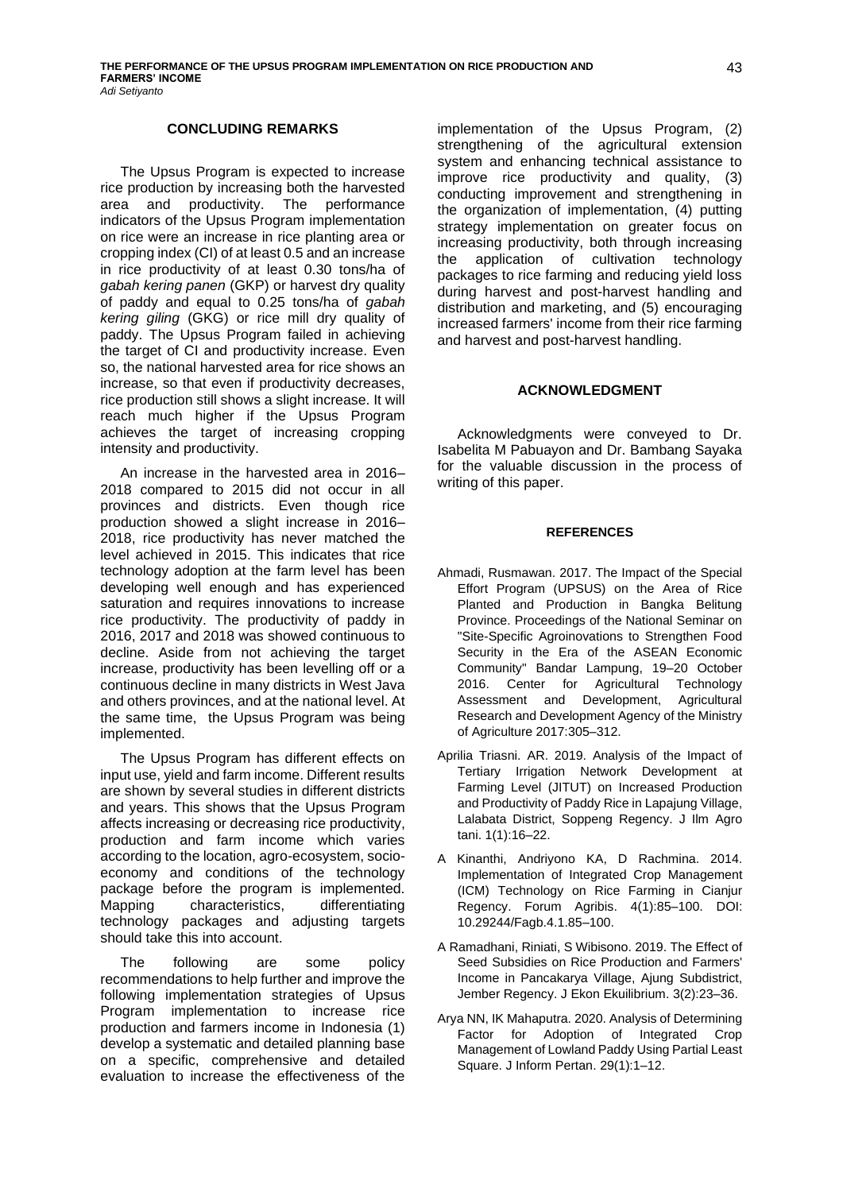#### **CONCLUDING REMARKS**

The Upsus Program is expected to increase rice production by increasing both the harvested area and productivity. The performance indicators of the Upsus Program implementation on rice were an increase in rice planting area or cropping index (CI) of at least 0.5 and an increase in rice productivity of at least 0.30 tons/ha of *gabah kering panen* (GKP) or harvest dry quality of paddy and equal to 0.25 tons/ha of *gabah kering giling* (GKG) or rice mill dry quality of paddy. The Upsus Program failed in achieving the target of CI and productivity increase. Even so, the national harvested area for rice shows an increase, so that even if productivity decreases, rice production still shows a slight increase. It will reach much higher if the Upsus Program achieves the target of increasing cropping intensity and productivity.

An increase in the harvested area in 2016– 2018 compared to 2015 did not occur in all provinces and districts. Even though rice production showed a slight increase in 2016– 2018, rice productivity has never matched the level achieved in 2015. This indicates that rice technology adoption at the farm level has been developing well enough and has experienced saturation and requires innovations to increase rice productivity. The productivity of paddy in 2016, 2017 and 2018 was showed continuous to decline. Aside from not achieving the target increase, productivity has been levelling off or a continuous decline in many districts in West Java and others provinces, and at the national level. At the same time, the Upsus Program was being implemented.

The Upsus Program has different effects on input use, yield and farm income. Different results are shown by several studies in different districts and years. This shows that the Upsus Program affects increasing or decreasing rice productivity, production and farm income which varies according to the location, agro-ecosystem, socioeconomy and conditions of the technology package before the program is implemented. Mapping characteristics, differentiating technology packages and adjusting targets should take this into account.

The following are some policy recommendations to help further and improve the following implementation strategies of Upsus Program implementation to increase rice production and farmers income in Indonesia (1) develop a systematic and detailed planning base on a specific, comprehensive and detailed evaluation to increase the effectiveness of the

implementation of the Upsus Program, (2) strengthening of the agricultural extension system and enhancing technical assistance to improve rice productivity and quality, (3) conducting improvement and strengthening in the organization of implementation, (4) putting strategy implementation on greater focus on increasing productivity, both through increasing the application of cultivation technology packages to rice farming and reducing yield loss during harvest and post-harvest handling and distribution and marketing, and (5) encouraging increased farmers' income from their rice farming and harvest and post-harvest handling.

### **ACKNOWLEDGMENT**

Acknowledgments were conveyed to Dr. Isabelita M Pabuayon and Dr. Bambang Sayaka for the valuable discussion in the process of writing of this paper.

#### **REFERENCES**

- Ahmadi, Rusmawan. 2017. The Impact of the Special Effort Program (UPSUS) on the Area of Rice Planted and Production in Bangka Belitung Province. Proceedings of the National Seminar on "Site-Specific Agroinovations to Strengthen Food Security in the Era of the ASEAN Economic Community" Bandar Lampung, 19–20 October 2016. Center for Agricultural Technology Assessment and Development, Agricultural Research and Development Agency of the Ministry of Agriculture 2017:305–312.
- Aprilia Triasni. AR. 2019. Analysis of the Impact of Tertiary Irrigation Network Development at Farming Level (JITUT) on Increased Production and Productivity of Paddy Rice in Lapajung Village, Lalabata District, Soppeng Regency. J Ilm Agro tani. 1(1):16–22.
- A Kinanthi, Andriyono KA, D Rachmina. 2014. Implementation of Integrated Crop Management (ICM) Technology on Rice Farming in Cianjur Regency. Forum Agribis. 4(1):85–100. DOI: 10.29244/Fagb.4.1.85–100.
- A Ramadhani, Riniati, S Wibisono. 2019. The Effect of Seed Subsidies on Rice Production and Farmers' Income in Pancakarya Village, Ajung Subdistrict, Jember Regency. J Ekon Ekuilibrium. 3(2):23–36.
- Arya NN, IK Mahaputra. 2020. Analysis of Determining Factor for Adoption of Integrated Crop Management of Lowland Paddy Using Partial Least Square. J Inform Pertan. 29(1):1–12.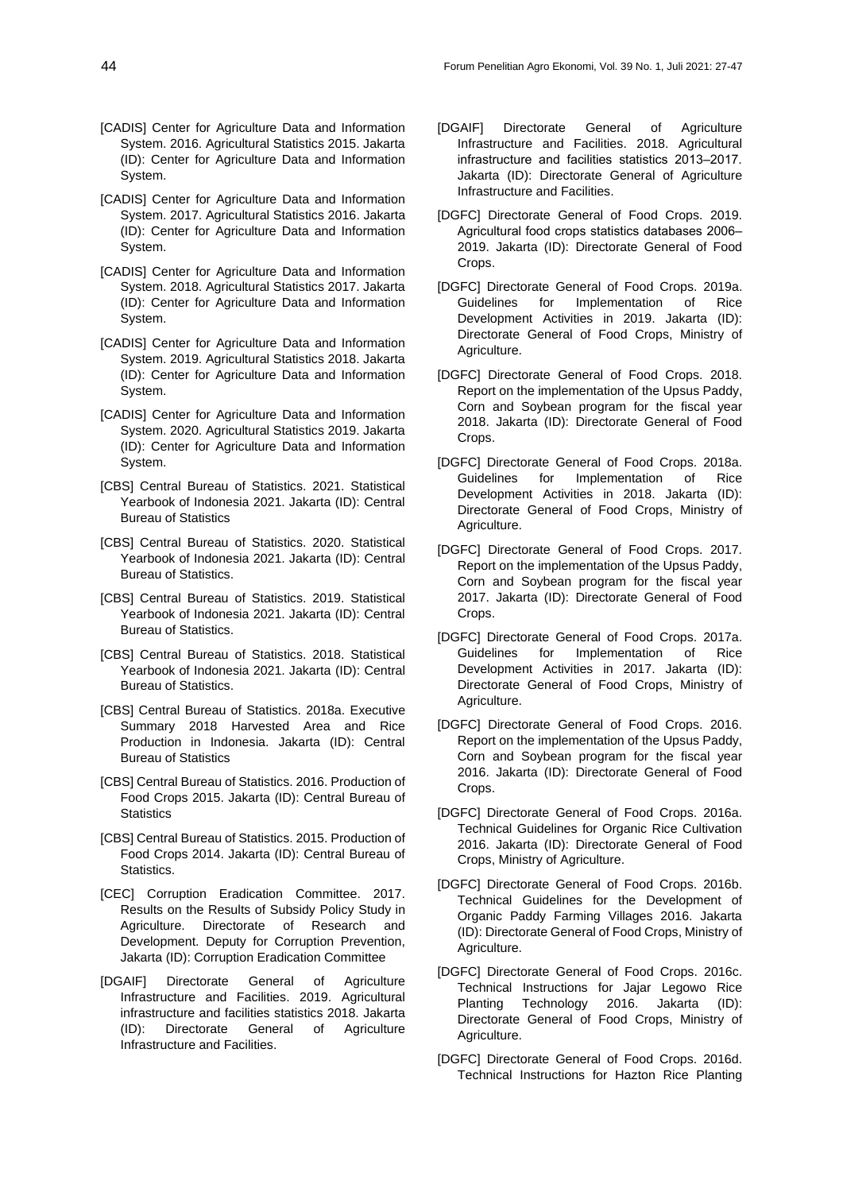- [CADIS] Center for Agriculture Data and Information System. 2016. Agricultural Statistics 2015. Jakarta (ID): Center for Agriculture Data and Information System.
- [CADIS] Center for Agriculture Data and Information System. 2017. Agricultural Statistics 2016. Jakarta (ID): Center for Agriculture Data and Information System.
- [CADIS] Center for Agriculture Data and Information System. 2018. Agricultural Statistics 2017. Jakarta (ID): Center for Agriculture Data and Information System.
- [CADIS] Center for Agriculture Data and Information System. 2019. Agricultural Statistics 2018. Jakarta (ID): Center for Agriculture Data and Information System.
- [CADIS] Center for Agriculture Data and Information System. 2020. Agricultural Statistics 2019. Jakarta (ID): Center for Agriculture Data and Information System.
- [CBS] Central Bureau of Statistics. 2021. Statistical Yearbook of Indonesia 2021. Jakarta (ID): Central Bureau of Statistics
- [CBS] Central Bureau of Statistics. 2020. Statistical Yearbook of Indonesia 2021. Jakarta (ID): Central Bureau of Statistics.
- [CBS] Central Bureau of Statistics. 2019. Statistical Yearbook of Indonesia 2021. Jakarta (ID): Central Bureau of Statistics.
- [CBS] Central Bureau of Statistics. 2018. Statistical Yearbook of Indonesia 2021. Jakarta (ID): Central Bureau of Statistics.
- [CBS] Central Bureau of Statistics. 2018a. Executive Summary 2018 Harvested Area and Rice Production in Indonesia. Jakarta (ID): Central Bureau of Statistics
- [CBS] Central Bureau of Statistics. 2016. Production of Food Crops 2015. Jakarta (ID): Central Bureau of **Statistics**
- [CBS] Central Bureau of Statistics. 2015. Production of Food Crops 2014. Jakarta (ID): Central Bureau of Statistics.
- [CEC] Corruption Eradication Committee. 2017. Results on the Results of Subsidy Policy Study in Agriculture. Directorate of Research and Development. Deputy for Corruption Prevention, Jakarta (ID): Corruption Eradication Committee
- [DGAIF] Directorate General of Agriculture Infrastructure and Facilities. 2019. Agricultural infrastructure and facilities statistics 2018. Jakarta (ID): Directorate General of Agriculture Infrastructure and Facilities.
- [DGAIF] Directorate General of Agriculture Infrastructure and Facilities. 2018. Agricultural infrastructure and facilities statistics 2013-2017. Jakarta (ID): Directorate General of Agriculture Infrastructure and Facilities.
- [DGFC] Directorate General of Food Crops. 2019. Agricultural food crops statistics databases 2006-2019. Jakarta (ID): Directorate General of Food Crops.
- [DGFC] Directorate General of Food Crops. 2019a. Guidelines for Implementation of Rice Development Activities in 2019. Jakarta (ID): Directorate General of Food Crops, Ministry of Agriculture.
- [DGFC] Directorate General of Food Crops. 2018. Report on the implementation of the Upsus Paddy, Corn and Soybean program for the fiscal year 2018. Jakarta (ID): Directorate General of Food Crops.
- [DGFC] Directorate General of Food Crops. 2018a. Guidelines for Implementation of Rice Development Activities in 2018. Jakarta (ID): Directorate General of Food Crops, Ministry of Agriculture.
- [DGFC] Directorate General of Food Crops. 2017. Report on the implementation of the Upsus Paddy, Corn and Soybean program for the fiscal year 2017. Jakarta (ID): Directorate General of Food Crops.
- [DGFC] Directorate General of Food Crops. 2017a. Guidelines for Implementation of Rice Development Activities in 2017. Jakarta (ID): Directorate General of Food Crops, Ministry of Agriculture.
- [DGFC] Directorate General of Food Crops. 2016. Report on the implementation of the Upsus Paddy, Corn and Soybean program for the fiscal year 2016. Jakarta (ID): Directorate General of Food Crops.
- [DGFC] Directorate General of Food Crops. 2016a. Technical Guidelines for Organic Rice Cultivation 2016. Jakarta (ID): Directorate General of Food Crops, Ministry of Agriculture.
- [DGFC] Directorate General of Food Crops. 2016b. Technical Guidelines for the Development of Organic Paddy Farming Villages 2016. Jakarta (ID): Directorate General of Food Crops, Ministry of Agriculture.
- [DGFC] Directorate General of Food Crops. 2016c. Technical Instructions for Jajar Legowo Rice Planting Technology 2016. Jakarta (ID): Directorate General of Food Crops, Ministry of Agriculture.
- [DGFC] Directorate General of Food Crops. 2016d. Technical Instructions for Hazton Rice Planting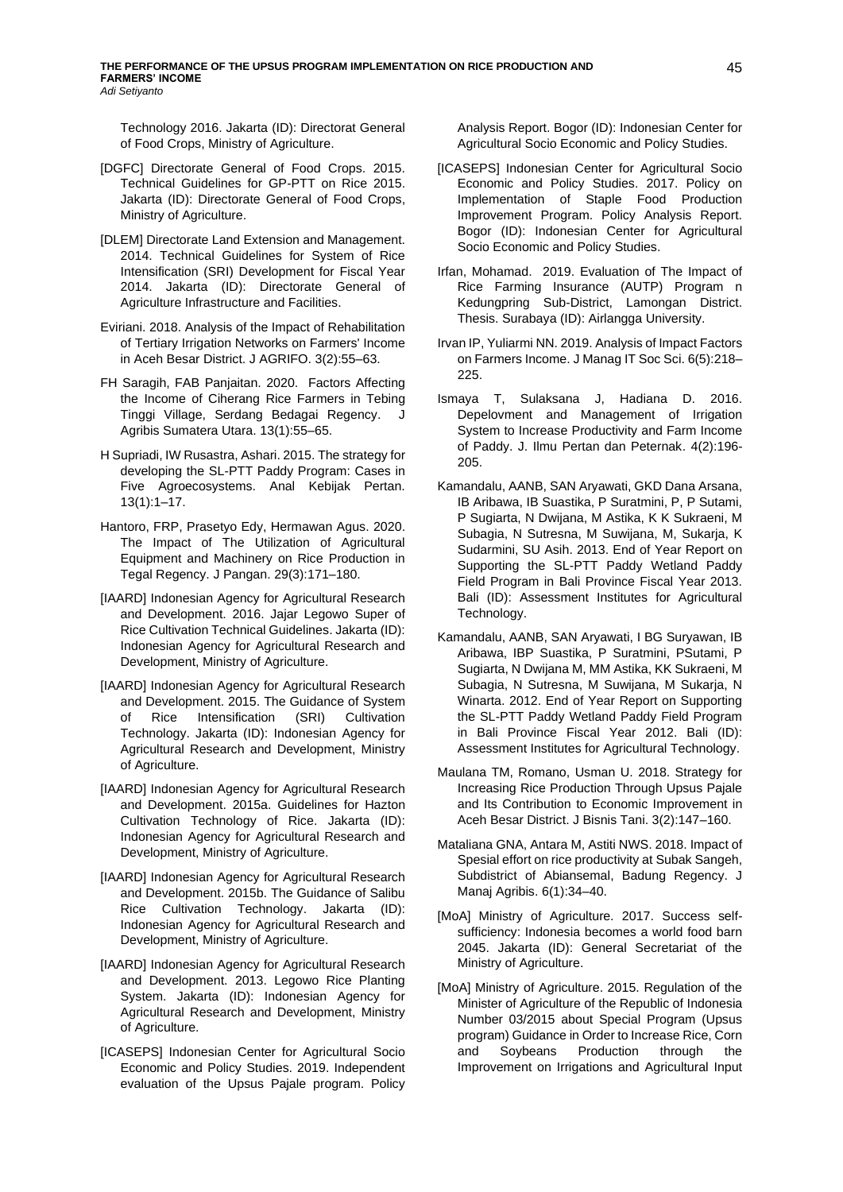Technology 2016. Jakarta (ID): Directorat General of Food Crops, Ministry of Agriculture.

- [DGFC] Directorate General of Food Crops. 2015. Technical Guidelines for GP-PTT on Rice 2015. Jakarta (ID): Directorate General of Food Crops, Ministry of Agriculture.
- [DLEM] Directorate Land Extension and Management. 2014. Technical Guidelines for System of Rice Intensification (SRI) Development for Fiscal Year 2014. Jakarta (ID): Directorate General of Agriculture Infrastructure and Facilities.
- Eviriani. 2018. Analysis of the Impact of Rehabilitation of Tertiary Irrigation Networks on Farmers' Income in Aceh Besar District. J AGRIFO. 3(2):55–63.
- FH Saragih, FAB Panjaitan. 2020. Factors Affecting the Income of Ciherang Rice Farmers in Tebing Tinggi Village, Serdang Bedagai Regency. J Agribis Sumatera Utara. 13(1):55–65.
- H Supriadi, IW Rusastra, Ashari. 2015. The strategy for developing the SL-PTT Paddy Program: Cases in Five Agroecosystems. Anal Kebijak Pertan. 13(1):1–17.
- Hantoro, FRP, Prasetyo Edy, Hermawan Agus. 2020. The Impact of The Utilization of Agricultural Equipment and Machinery on Rice Production in Tegal Regency. J Pangan. 29(3):171–180.
- [IAARD] Indonesian Agency for Agricultural Research and Development. 2016. Jajar Legowo Super of Rice Cultivation Technical Guidelines. Jakarta (ID): Indonesian Agency for Agricultural Research and Development, Ministry of Agriculture.
- [IAARD] Indonesian Agency for Agricultural Research and Development. 2015. The Guidance of System of Rice Intensification (SRI) Cultivation Technology. Jakarta (ID): Indonesian Agency for Agricultural Research and Development, Ministry of Agriculture.
- [IAARD] Indonesian Agency for Agricultural Research and Development. 2015a. Guidelines for Hazton Cultivation Technology of Rice. Jakarta (ID): Indonesian Agency for Agricultural Research and Development, Ministry of Agriculture.
- [IAARD] Indonesian Agency for Agricultural Research and Development. 2015b. The Guidance of Salibu Rice Cultivation Technology. Jakarta (ID): Indonesian Agency for Agricultural Research and Development, Ministry of Agriculture.
- [IAARD] Indonesian Agency for Agricultural Research and Development. 2013. Legowo Rice Planting System. Jakarta (ID): Indonesian Agency for Agricultural Research and Development, Ministry of Agriculture.
- [ICASEPS] Indonesian Center for Agricultural Socio Economic and Policy Studies. 2019. Independent evaluation of the Upsus Pajale program. Policy

Analysis Report. Bogor (ID): Indonesian Center for Agricultural Socio Economic and Policy Studies.

- [ICASEPS] Indonesian Center for Agricultural Socio Economic and Policy Studies. 2017. Policy on Implementation of Staple Food Production Improvement Program. Policy Analysis Report. Bogor (ID): Indonesian Center for Agricultural Socio Economic and Policy Studies.
- Irfan, Mohamad. 2019. Evaluation of The Impact of Rice Farming Insurance (AUTP) Program n Kedungpring Sub-District, Lamongan District. Thesis. Surabaya (ID): Airlangga University.
- Irvan IP, Yuliarmi NN. 2019. Analysis of Impact Factors on Farmers Income. J Manag IT Soc Sci. 6(5):218– 225.
- Ismaya T, Sulaksana J, Hadiana D. 2016. Depelovment and Management of Irrigation System to Increase Productivity and Farm Income of Paddy. J. Ilmu Pertan dan Peternak. 4(2):196- 205.
- Kamandalu, AANB, SAN Aryawati, GKD Dana Arsana, IB Aribawa, IB Suastika, P Suratmini, P, P Sutami, P Sugiarta, N Dwijana, M Astika, K K Sukraeni, M Subagia, N Sutresna, M Suwijana, M, Sukarja, K Sudarmini, SU Asih. 2013. End of Year Report on Supporting the SL-PTT Paddy Wetland Paddy Field Program in Bali Province Fiscal Year 2013. Bali (ID): Assessment Institutes for Agricultural Technology.
- Kamandalu, AANB, SAN Aryawati, I BG Suryawan, IB Aribawa, IBP Suastika, P Suratmini, PSutami, P Sugiarta, N Dwijana M, MM Astika, KK Sukraeni, M Subagia, N Sutresna, M Suwijana, M Sukarja, N Winarta. 2012. End of Year Report on Supporting the SL-PTT Paddy Wetland Paddy Field Program in Bali Province Fiscal Year 2012. Bali (ID): Assessment Institutes for Agricultural Technology.
- Maulana TM, Romano, Usman U. 2018. Strategy for Increasing Rice Production Through Upsus Pajale and Its Contribution to Economic Improvement in Aceh Besar District. J Bisnis Tani. 3(2):147–160.
- Mataliana GNA, Antara M, Astiti NWS. 2018. Impact of Spesial effort on rice productivity at Subak Sangeh, Subdistrict of Abiansemal, Badung Regency. J Manaj Agribis. 6(1):34–40.
- [MoA] Ministry of Agriculture. 2017. Success selfsufficiency: Indonesia becomes a world food barn 2045. Jakarta (ID): General Secretariat of the Ministry of Agriculture.
- [MoA] Ministry of Agriculture. 2015. Regulation of the Minister of Agriculture of the Republic of Indonesia Number 03/2015 about Special Program (Upsus program) Guidance in Order to Increase Rice, Corn and Soybeans Production through the Improvement on Irrigations and Agricultural Input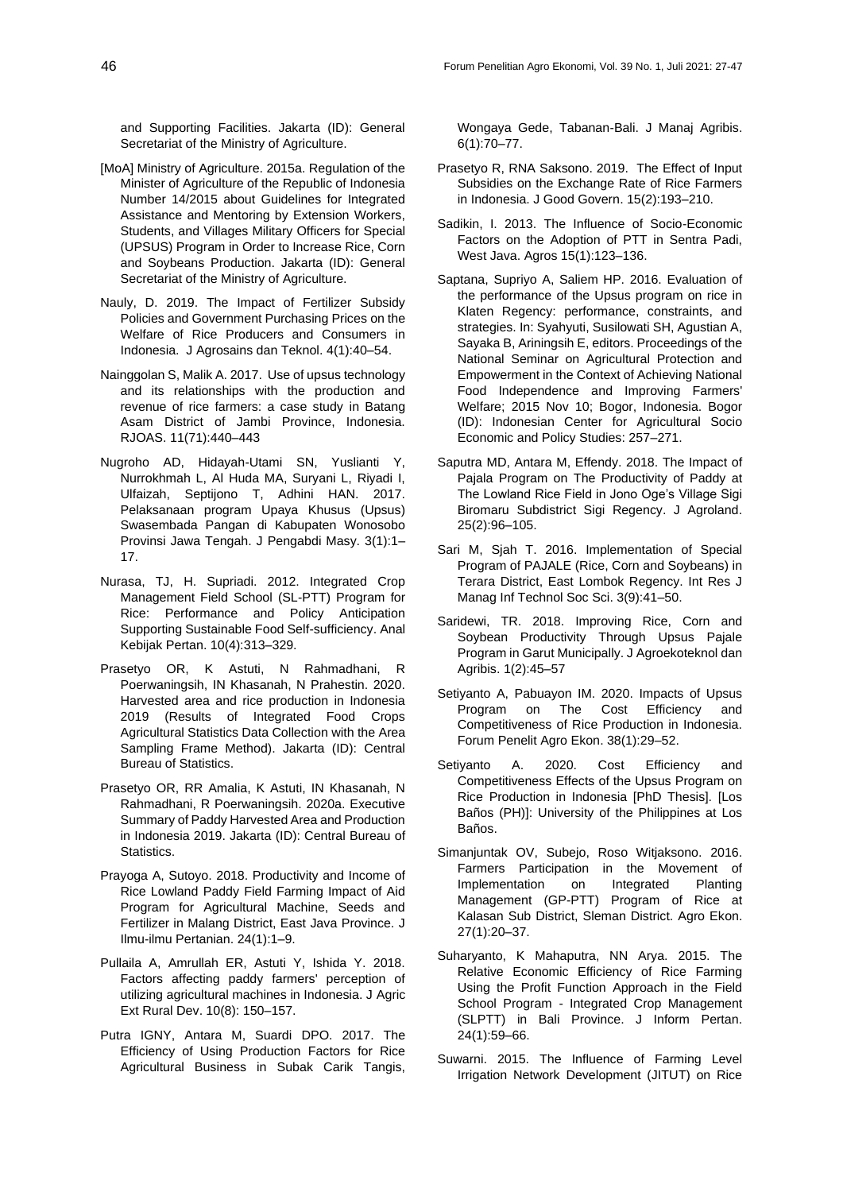and Supporting Facilities. Jakarta (ID): General Secretariat of the Ministry of Agriculture.

- [MoA] Ministry of Agriculture. 2015a. Regulation of the Minister of Agriculture of the Republic of Indonesia Number 14/2015 about Guidelines for Integrated Assistance and Mentoring by Extension Workers, Students, and Villages Military Officers for Special (UPSUS) Program in Order to Increase Rice, Corn and Soybeans Production. Jakarta (ID): General Secretariat of the Ministry of Agriculture.
- Nauly, D. 2019. The Impact of Fertilizer Subsidy Policies and Government Purchasing Prices on the Welfare of Rice Producers and Consumers in Indonesia. J Agrosains dan Teknol. 4(1):40–54.
- Nainggolan S, Malik A. 2017. Use of upsus technology and its relationships with the production and revenue of rice farmers: a case study in Batang Asam District of Jambi Province, Indonesia. RJOAS. 11(71):440–443
- Nugroho AD, Hidayah-Utami SN, Yuslianti Y, Nurrokhmah L, Al Huda MA, Suryani L, Riyadi I, Ulfaizah, Septijono T, Adhini HAN. 2017. Pelaksanaan program Upaya Khusus (Upsus) Swasembada Pangan di Kabupaten Wonosobo Provinsi Jawa Tengah. J Pengabdi Masy. 3(1):1– 17.
- Nurasa, TJ, H. Supriadi. 2012. Integrated Crop Management Field School (SL-PTT) Program for Rice: Performance and Policy Anticipation Supporting Sustainable Food Self-sufficiency. Anal Kebijak Pertan. 10(4):313–329.
- Prasetyo OR, K Astuti, N Rahmadhani, R Poerwaningsih, IN Khasanah, N Prahestin. 2020. Harvested area and rice production in Indonesia 2019 (Results of Integrated Food Crops Agricultural Statistics Data Collection with the Area Sampling Frame Method). Jakarta (ID): Central Bureau of Statistics.
- Prasetyo OR, RR Amalia, K Astuti, IN Khasanah, N Rahmadhani, R Poerwaningsih. 2020a. Executive Summary of Paddy Harvested Area and Production in Indonesia 2019. Jakarta (ID): Central Bureau of Statistics.
- Prayoga A, Sutoyo. 2018. Productivity and Income of Rice Lowland Paddy Field Farming Impact of Aid Program for Agricultural Machine, Seeds and Fertilizer in Malang District, East Java Province. J Ilmu-ilmu Pertanian. 24(1):1–9.
- Pullaila A, Amrullah ER, Astuti Y, Ishida Y. 2018. Factors affecting paddy farmers' perception of utilizing agricultural machines in Indonesia. J Agric Ext Rural Dev. 10(8): 150–157.
- Putra IGNY, Antara M, Suardi DPO. 2017. The Efficiency of Using Production Factors for Rice Agricultural Business in Subak Carik Tangis,

Wongaya Gede, Tabanan-Bali. J Manaj Agribis. 6(1):70–77.

- Prasetyo R, RNA Saksono. 2019. The Effect of Input Subsidies on the Exchange Rate of Rice Farmers in Indonesia. J Good Govern. 15(2):193–210.
- Sadikin, I. 2013. The Influence of Socio-Economic Factors on the Adoption of PTT in Sentra Padi, West Java. Agros 15(1):123–136.
- Saptana, Supriyo A, Saliem HP. 2016. Evaluation of the performance of the Upsus program on rice in Klaten Regency: performance, constraints, and strategies. In: Syahyuti, Susilowati SH, Agustian A, Sayaka B, Ariningsih E, editors. Proceedings of the National Seminar on Agricultural Protection and Empowerment in the Context of Achieving National Food Independence and Improving Farmers' Welfare; 2015 Nov 10; Bogor, Indonesia. Bogor (ID): Indonesian Center for Agricultural Socio Economic and Policy Studies: 257–271.
- Saputra MD, Antara M, Effendy. 2018. The Impact of Pajala Program on The Productivity of Paddy at The Lowland Rice Field in Jono Oge's Village Sigi Biromaru Subdistrict Sigi Regency. J Agroland. 25(2):96–105.
- Sari M, Sjah T. 2016. Implementation of Special Program of PAJALE (Rice, Corn and Soybeans) in Terara District, East Lombok Regency. Int Res J Manag Inf Technol Soc Sci. 3(9):41–50.
- Saridewi, TR. 2018. Improving Rice, Corn and Soybean Productivity Through Upsus Pajale Program in Garut Municipally. J Agroekoteknol dan Agribis. 1(2):45–57
- Setiyanto A, Pabuayon IM. 2020. Impacts of Upsus Program on The Cost Efficiency and Competitiveness of Rice Production in Indonesia. Forum Penelit Agro Ekon. 38(1):29–52.
- Setiyanto A. 2020. Cost Efficiency and Competitiveness Effects of the Upsus Program on Rice Production in Indonesia [PhD Thesis]. [Los Baños (PH)]: University of the Philippines at Los Baños.
- Simanjuntak OV, Subejo, Roso Witjaksono. 2016. Farmers Participation in the Movement of Implementation on Integrated Planting Management (GP-PTT) Program of Rice at Kalasan Sub District, Sleman District. Agro Ekon. 27(1):20–37.
- Suharyanto, K Mahaputra, NN Arya. 2015. The Relative Economic Efficiency of Rice Farming Using the Profit Function Approach in the Field School Program - Integrated Crop Management (SLPTT) in Bali Province. J Inform Pertan. 24(1):59–66.
- Suwarni. 2015. The Influence of Farming Level Irrigation Network Development (JITUT) on Rice